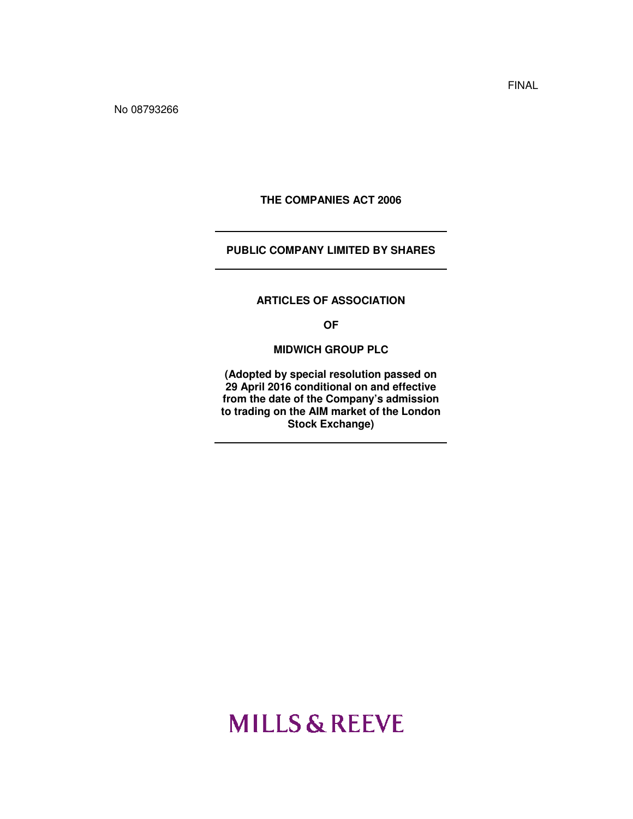No 08793266

**THE COMPANIES ACT 2006** 

# **PUBLIC COMPANY LIMITED BY SHARES**

#### **ARTICLES OF ASSOCIATION**

**OF** 

**MIDWICH GROUP PLC** 

**(Adopted by special resolution passed on 29 April 2016 conditional on and effective from the date of the Company's admission to trading on the AIM market of the London Stock Exchange)** 

# **MILLS & REEVE**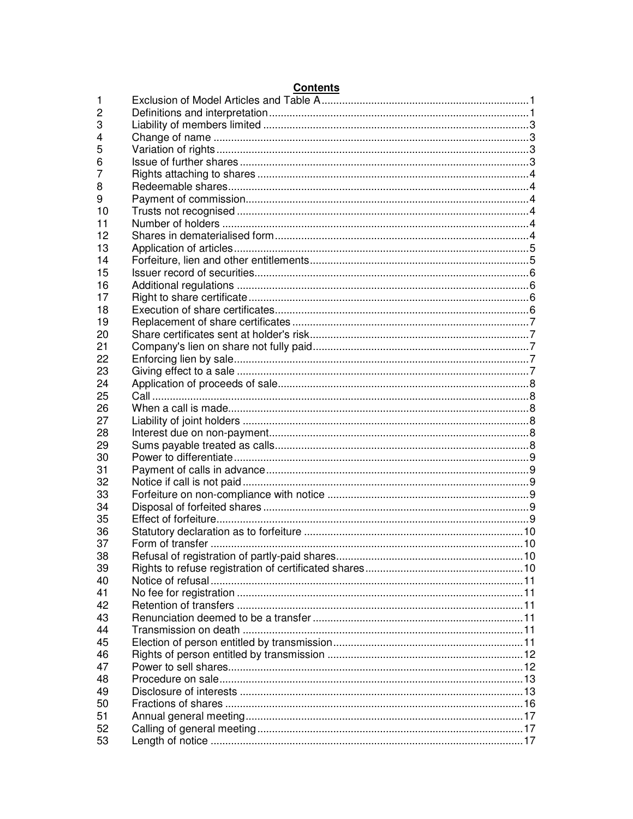|    | 001101113 |  |
|----|-----------|--|
| 1  |           |  |
| 2  |           |  |
| 3  |           |  |
| 4  |           |  |
| 5  |           |  |
| 6  |           |  |
| 7  |           |  |
| 8  |           |  |
| 9  |           |  |
| 10 |           |  |
| 11 |           |  |
| 12 |           |  |
| 13 |           |  |
| 14 |           |  |
| 15 |           |  |
| 16 |           |  |
| 17 |           |  |
| 18 |           |  |
| 19 |           |  |
| 20 |           |  |
| 21 |           |  |
| 22 |           |  |
| 23 |           |  |
| 24 |           |  |
| 25 |           |  |
| 26 |           |  |
| 27 |           |  |
| 28 |           |  |
| 29 |           |  |
| 30 |           |  |
| 31 |           |  |
| 32 |           |  |
| 33 |           |  |
| 34 |           |  |
| 35 |           |  |
| 36 |           |  |
| 37 |           |  |
| 38 |           |  |
| 39 |           |  |
| 40 |           |  |
| 41 |           |  |
| 42 |           |  |
| 43 |           |  |
| 44 |           |  |
| 45 |           |  |
| 46 |           |  |
| 47 |           |  |
| 48 |           |  |
| 49 |           |  |
| 50 |           |  |
| 51 |           |  |
| 52 |           |  |
| 53 |           |  |

# **Contents**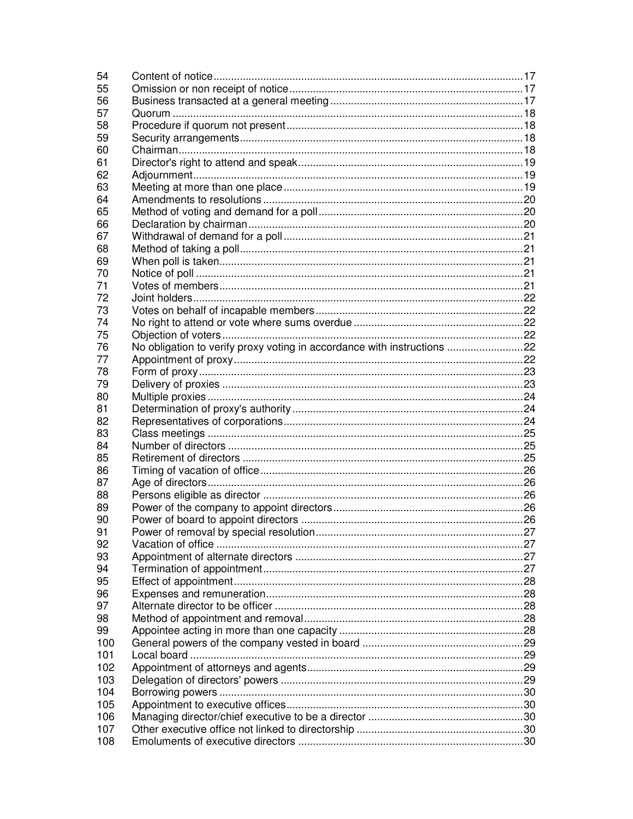| 54  |                                                                         |  |
|-----|-------------------------------------------------------------------------|--|
| 55  |                                                                         |  |
| 56  |                                                                         |  |
| 57  |                                                                         |  |
| 58  |                                                                         |  |
| 59  |                                                                         |  |
| 60  |                                                                         |  |
| 61  |                                                                         |  |
| 62  |                                                                         |  |
| 63  |                                                                         |  |
| 64  |                                                                         |  |
| 65  |                                                                         |  |
| 66  |                                                                         |  |
| 67  |                                                                         |  |
| 68  |                                                                         |  |
| 69  |                                                                         |  |
| 70  |                                                                         |  |
| 71  |                                                                         |  |
| 72  |                                                                         |  |
| 73  |                                                                         |  |
| 74  |                                                                         |  |
| 75  |                                                                         |  |
| 76  | No obligation to verify proxy voting in accordance with instructions 22 |  |
| 77  |                                                                         |  |
| 78  |                                                                         |  |
| 79  |                                                                         |  |
| 80  |                                                                         |  |
| 81  |                                                                         |  |
| 82  |                                                                         |  |
| 83  |                                                                         |  |
| 84  |                                                                         |  |
| 85  |                                                                         |  |
| 86  |                                                                         |  |
| 87  |                                                                         |  |
| 88  |                                                                         |  |
| 89  |                                                                         |  |
| 90  |                                                                         |  |
| 91  |                                                                         |  |
| 92  |                                                                         |  |
| 93  |                                                                         |  |
| 94  |                                                                         |  |
| 95  |                                                                         |  |
| 96  |                                                                         |  |
| 97  |                                                                         |  |
| 98  |                                                                         |  |
| 99  |                                                                         |  |
| 100 |                                                                         |  |
| 101 |                                                                         |  |
| 102 |                                                                         |  |
| 103 |                                                                         |  |
| 104 |                                                                         |  |
| 105 |                                                                         |  |
| 106 |                                                                         |  |
| 107 |                                                                         |  |
| 108 |                                                                         |  |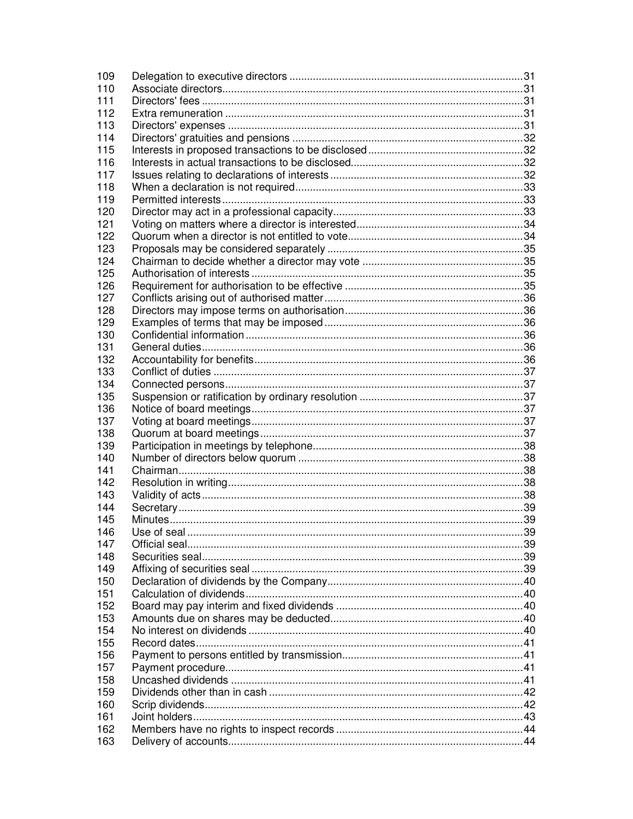| 109 |    |
|-----|----|
| 110 |    |
| 111 |    |
| 112 |    |
| 113 |    |
| 114 |    |
| 115 |    |
| 116 |    |
| 117 |    |
| 118 |    |
| 119 |    |
| 120 |    |
| 121 |    |
| 122 |    |
| 123 |    |
| 124 |    |
| 125 |    |
| 126 |    |
| 127 |    |
| 128 |    |
| 129 |    |
| 130 |    |
| 131 |    |
| 132 |    |
| 133 |    |
| 134 |    |
|     |    |
| 135 |    |
| 136 |    |
| 137 |    |
| 138 |    |
| 139 |    |
| 140 |    |
| 141 |    |
| 142 |    |
| 143 |    |
| 144 |    |
| 145 |    |
| 146 | 39 |
| 147 |    |
| 148 |    |
| 149 |    |
| 150 |    |
| 151 |    |
| 152 |    |
| 153 |    |
| 154 |    |
| 155 |    |
| 156 |    |
| 157 |    |
| 158 |    |
| 159 |    |
| 160 |    |
| 161 |    |
| 162 |    |
| 163 |    |
|     |    |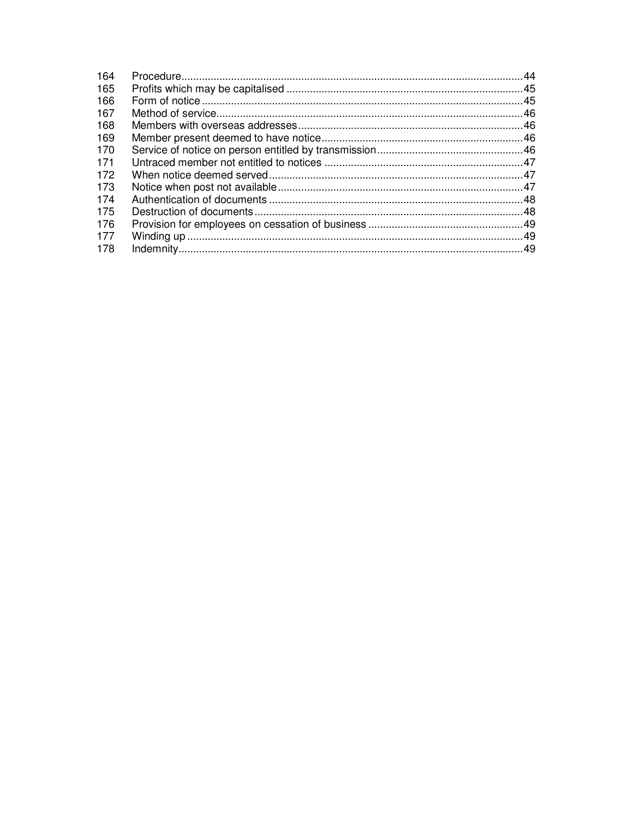| 164 |  |
|-----|--|
| 165 |  |
| 166 |  |
| 167 |  |
| 168 |  |
| 169 |  |
| 170 |  |
| 171 |  |
| 172 |  |
| 173 |  |
| 174 |  |
| 175 |  |
| 176 |  |
| 177 |  |
| 178 |  |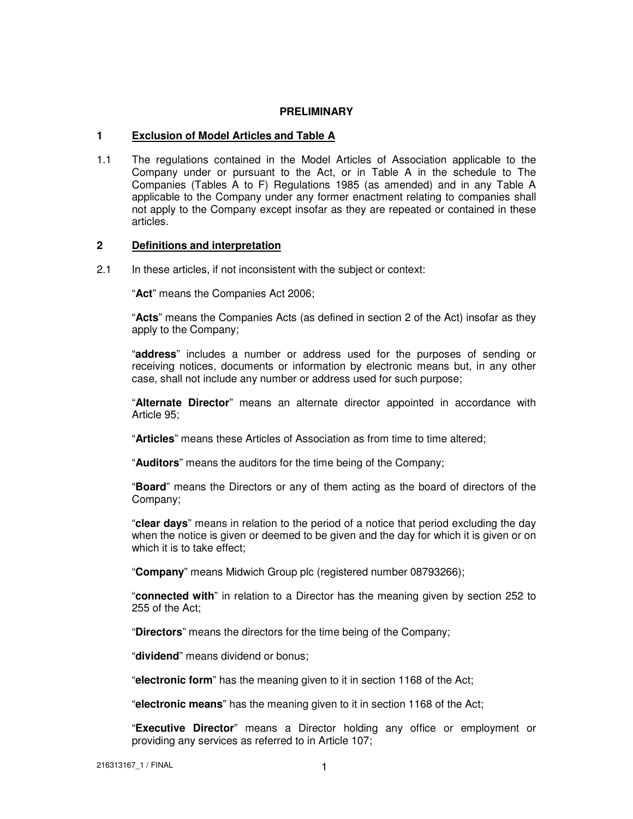## **PRELIMINARY**

## **1 Exclusion of Model Articles and Table A**

1.1 The regulations contained in the Model Articles of Association applicable to the Company under or pursuant to the Act, or in Table A in the schedule to The Companies (Tables A to F) Regulations 1985 (as amended) and in any Table A applicable to the Company under any former enactment relating to companies shall not apply to the Company except insofar as they are repeated or contained in these articles.

#### **2 Definitions and interpretation**

2.1 In these articles, if not inconsistent with the subject or context:

"**Act**" means the Companies Act 2006;

"**Acts**" means the Companies Acts (as defined in section 2 of the Act) insofar as they apply to the Company;

"**address**" includes a number or address used for the purposes of sending or receiving notices, documents or information by electronic means but, in any other case, shall not include any number or address used for such purpose;

"**Alternate Director**" means an alternate director appointed in accordance with Article 95;

"**Articles**" means these Articles of Association as from time to time altered;

"**Auditors**" means the auditors for the time being of the Company;

"**Board**" means the Directors or any of them acting as the board of directors of the Company;

"**clear days**" means in relation to the period of a notice that period excluding the day when the notice is given or deemed to be given and the day for which it is given or on which it is to take effect;

"**Company**" means Midwich Group plc (registered number 08793266);

"**connected with**" in relation to a Director has the meaning given by section 252 to 255 of the Act;

"**Directors**" means the directors for the time being of the Company;

"**dividend**" means dividend or bonus;

"**electronic form**" has the meaning given to it in section 1168 of the Act;

"**electronic means**" has the meaning given to it in section 1168 of the Act;

"**Executive Director**" means a Director holding any office or employment or providing any services as referred to in Article 107;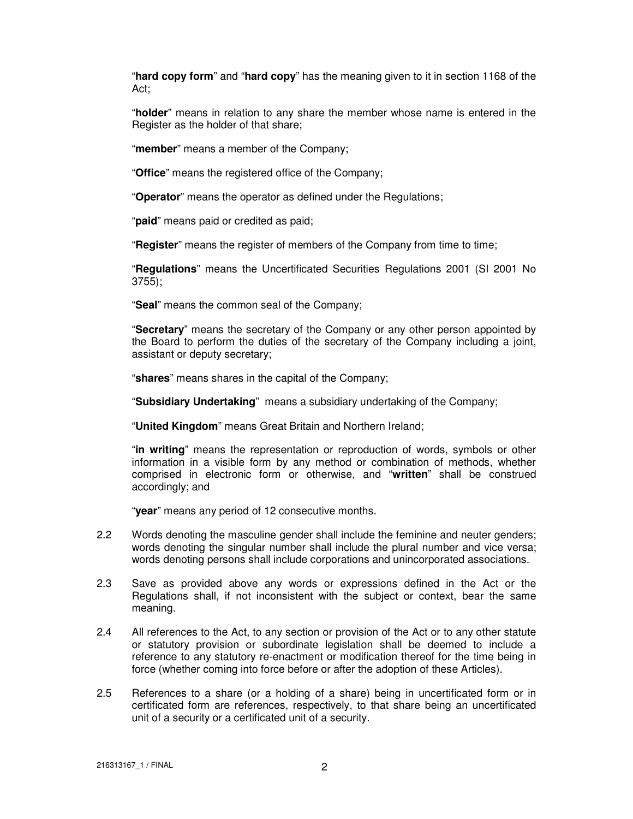"**hard copy form**" and "**hard copy**" has the meaning given to it in section 1168 of the Act;

"**holder**" means in relation to any share the member whose name is entered in the Register as the holder of that share;

"**member**" means a member of the Company;

"**Office**" means the registered office of the Company;

"**Operator**" means the operator as defined under the Regulations;

"**paid**" means paid or credited as paid;

"**Register**" means the register of members of the Company from time to time;

"**Regulations**" means the Uncertificated Securities Regulations 2001 (SI 2001 No 3755);

"**Seal**" means the common seal of the Company;

"**Secretary**" means the secretary of the Company or any other person appointed by the Board to perform the duties of the secretary of the Company including a joint, assistant or deputy secretary;

"**shares**" means shares in the capital of the Company;

"**Subsidiary Undertaking**" means a subsidiary undertaking of the Company;

"**United Kingdom**" means Great Britain and Northern Ireland;

"**in writing**" means the representation or reproduction of words, symbols or other information in a visible form by any method or combination of methods, whether comprised in electronic form or otherwise, and "**written**" shall be construed accordingly; and

"**year**" means any period of 12 consecutive months.

- 2.2 Words denoting the masculine gender shall include the feminine and neuter genders; words denoting the singular number shall include the plural number and vice versa; words denoting persons shall include corporations and unincorporated associations.
- 2.3 Save as provided above any words or expressions defined in the Act or the Regulations shall, if not inconsistent with the subject or context, bear the same meaning.
- 2.4 All references to the Act, to any section or provision of the Act or to any other statute or statutory provision or subordinate legislation shall be deemed to include a reference to any statutory re-enactment or modification thereof for the time being in force (whether coming into force before or after the adoption of these Articles).
- 2.5 References to a share (or a holding of a share) being in uncertificated form or in certificated form are references, respectively, to that share being an uncertificated unit of a security or a certificated unit of a security.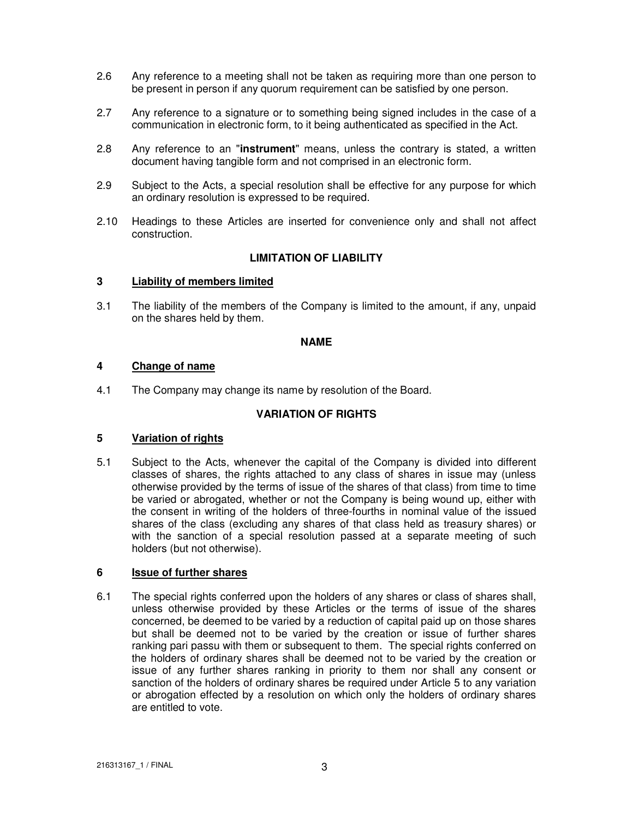- 2.6 Any reference to a meeting shall not be taken as requiring more than one person to be present in person if any quorum requirement can be satisfied by one person.
- 2.7 Any reference to a signature or to something being signed includes in the case of a communication in electronic form, to it being authenticated as specified in the Act.
- 2.8 Any reference to an "**instrument**" means, unless the contrary is stated, a written document having tangible form and not comprised in an electronic form.
- 2.9 Subject to the Acts, a special resolution shall be effective for any purpose for which an ordinary resolution is expressed to be required.
- 2.10 Headings to these Articles are inserted for convenience only and shall not affect construction.

## **LIMITATION OF LIABILITY**

#### **3 Liability of members limited**

3.1 The liability of the members of the Company is limited to the amount, if any, unpaid on the shares held by them.

#### **NAME**

## **4 Change of name**

4.1 The Company may change its name by resolution of the Board.

# **VARIATION OF RIGHTS**

# **5 Variation of rights**

5.1 Subject to the Acts, whenever the capital of the Company is divided into different classes of shares, the rights attached to any class of shares in issue may (unless otherwise provided by the terms of issue of the shares of that class) from time to time be varied or abrogated, whether or not the Company is being wound up, either with the consent in writing of the holders of three-fourths in nominal value of the issued shares of the class (excluding any shares of that class held as treasury shares) or with the sanction of a special resolution passed at a separate meeting of such holders (but not otherwise).

#### **6 Issue of further shares**

6.1 The special rights conferred upon the holders of any shares or class of shares shall, unless otherwise provided by these Articles or the terms of issue of the shares concerned, be deemed to be varied by a reduction of capital paid up on those shares but shall be deemed not to be varied by the creation or issue of further shares ranking pari passu with them or subsequent to them. The special rights conferred on the holders of ordinary shares shall be deemed not to be varied by the creation or issue of any further shares ranking in priority to them nor shall any consent or sanction of the holders of ordinary shares be required under Article 5 to any variation or abrogation effected by a resolution on which only the holders of ordinary shares are entitled to vote.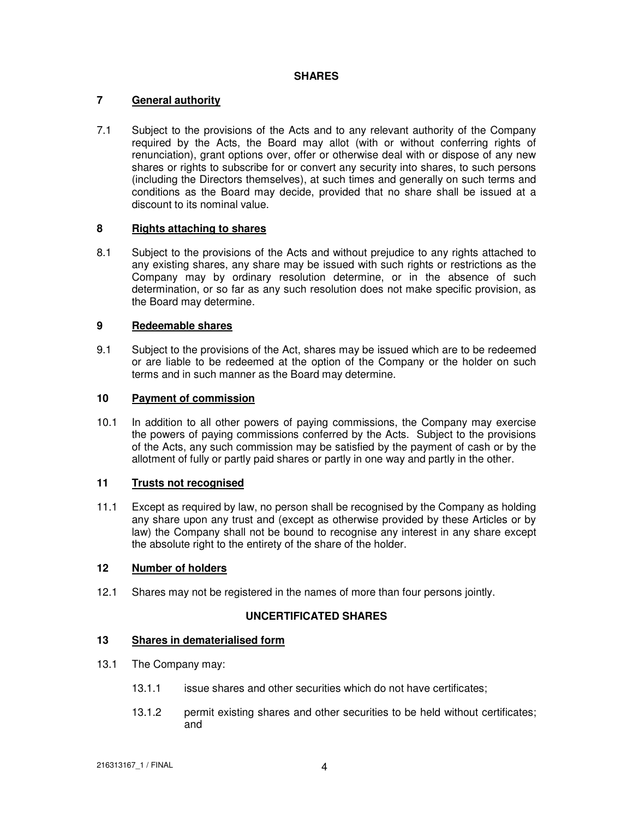# **SHARES**

# **7 General authority**

7.1 Subject to the provisions of the Acts and to any relevant authority of the Company required by the Acts, the Board may allot (with or without conferring rights of renunciation), grant options over, offer or otherwise deal with or dispose of any new shares or rights to subscribe for or convert any security into shares, to such persons (including the Directors themselves), at such times and generally on such terms and conditions as the Board may decide, provided that no share shall be issued at a discount to its nominal value.

# **8 Rights attaching to shares**

8.1 Subject to the provisions of the Acts and without prejudice to any rights attached to any existing shares, any share may be issued with such rights or restrictions as the Company may by ordinary resolution determine, or in the absence of such determination, or so far as any such resolution does not make specific provision, as the Board may determine.

## **9 Redeemable shares**

9.1 Subject to the provisions of the Act, shares may be issued which are to be redeemed or are liable to be redeemed at the option of the Company or the holder on such terms and in such manner as the Board may determine.

# **10 Payment of commission**

10.1 In addition to all other powers of paying commissions, the Company may exercise the powers of paying commissions conferred by the Acts. Subject to the provisions of the Acts, any such commission may be satisfied by the payment of cash or by the allotment of fully or partly paid shares or partly in one way and partly in the other.

# **11 Trusts not recognised**

11.1 Except as required by law, no person shall be recognised by the Company as holding any share upon any trust and (except as otherwise provided by these Articles or by law) the Company shall not be bound to recognise any interest in any share except the absolute right to the entirety of the share of the holder.

#### **12 Number of holders**

12.1 Shares may not be registered in the names of more than four persons jointly.

# **UNCERTIFICATED SHARES**

## **13 Shares in dematerialised form**

- 13.1 The Company may:
	- 13.1.1 issue shares and other securities which do not have certificates;
	- 13.1.2 permit existing shares and other securities to be held without certificates; and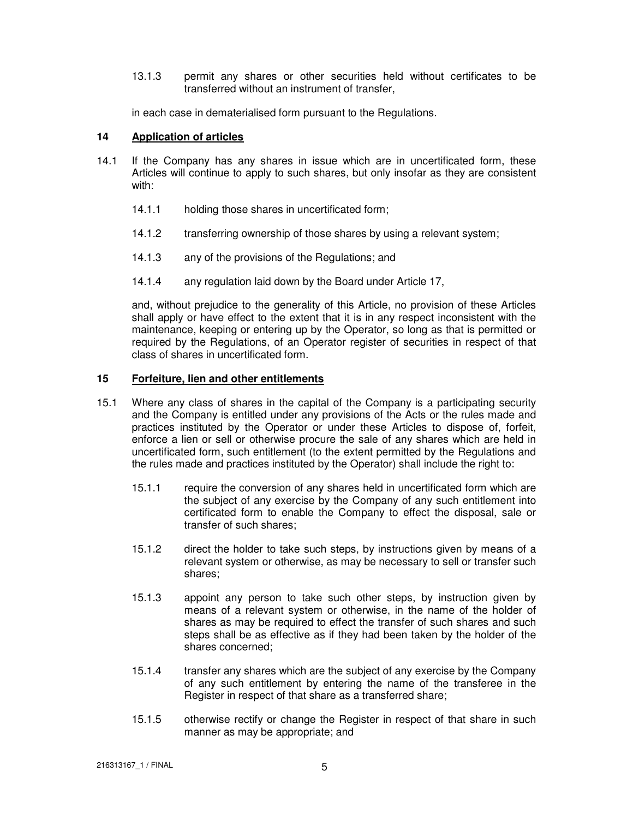13.1.3 permit any shares or other securities held without certificates to be transferred without an instrument of transfer,

in each case in dematerialised form pursuant to the Regulations.

# **14 Application of articles**

- 14.1 If the Company has any shares in issue which are in uncertificated form, these Articles will continue to apply to such shares, but only insofar as they are consistent with:
	- 14.1.1 holding those shares in uncertificated form;
	- 14.1.2 transferring ownership of those shares by using a relevant system;
	- 14.1.3 any of the provisions of the Regulations; and
	- 14.1.4 any regulation laid down by the Board under Article 17,

and, without prejudice to the generality of this Article, no provision of these Articles shall apply or have effect to the extent that it is in any respect inconsistent with the maintenance, keeping or entering up by the Operator, so long as that is permitted or required by the Regulations, of an Operator register of securities in respect of that class of shares in uncertificated form.

# **15 Forfeiture, lien and other entitlements**

- 15.1 Where any class of shares in the capital of the Company is a participating security and the Company is entitled under any provisions of the Acts or the rules made and practices instituted by the Operator or under these Articles to dispose of, forfeit, enforce a lien or sell or otherwise procure the sale of any shares which are held in uncertificated form, such entitlement (to the extent permitted by the Regulations and the rules made and practices instituted by the Operator) shall include the right to:
	- 15.1.1 require the conversion of any shares held in uncertificated form which are the subject of any exercise by the Company of any such entitlement into certificated form to enable the Company to effect the disposal, sale or transfer of such shares;
	- 15.1.2 direct the holder to take such steps, by instructions given by means of a relevant system or otherwise, as may be necessary to sell or transfer such shares;
	- 15.1.3 appoint any person to take such other steps, by instruction given by means of a relevant system or otherwise, in the name of the holder of shares as may be required to effect the transfer of such shares and such steps shall be as effective as if they had been taken by the holder of the shares concerned;
	- 15.1.4 transfer any shares which are the subject of any exercise by the Company of any such entitlement by entering the name of the transferee in the Register in respect of that share as a transferred share;
	- 15.1.5 otherwise rectify or change the Register in respect of that share in such manner as may be appropriate; and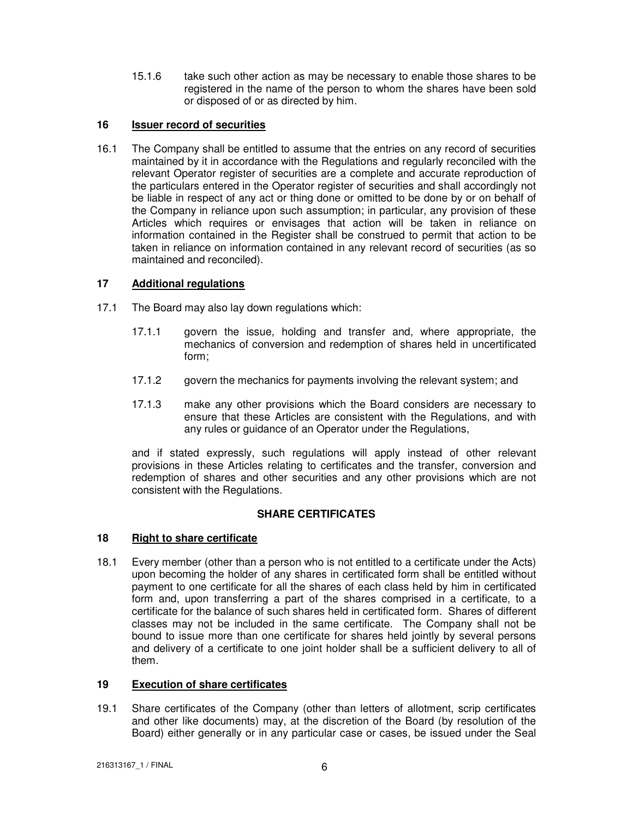15.1.6 take such other action as may be necessary to enable those shares to be registered in the name of the person to whom the shares have been sold or disposed of or as directed by him.

# **16 Issuer record of securities**

16.1 The Company shall be entitled to assume that the entries on any record of securities maintained by it in accordance with the Regulations and regularly reconciled with the relevant Operator register of securities are a complete and accurate reproduction of the particulars entered in the Operator register of securities and shall accordingly not be liable in respect of any act or thing done or omitted to be done by or on behalf of the Company in reliance upon such assumption; in particular, any provision of these Articles which requires or envisages that action will be taken in reliance on information contained in the Register shall be construed to permit that action to be taken in reliance on information contained in any relevant record of securities (as so maintained and reconciled).

# **17 Additional regulations**

- 17.1 The Board may also lay down regulations which:
	- 17.1.1 govern the issue, holding and transfer and, where appropriate, the mechanics of conversion and redemption of shares held in uncertificated form;
	- 17.1.2 govern the mechanics for payments involving the relevant system; and
	- 17.1.3 make any other provisions which the Board considers are necessary to ensure that these Articles are consistent with the Regulations, and with any rules or guidance of an Operator under the Regulations,

and if stated expressly, such regulations will apply instead of other relevant provisions in these Articles relating to certificates and the transfer, conversion and redemption of shares and other securities and any other provisions which are not consistent with the Regulations.

# **SHARE CERTIFICATES**

# **18 Right to share certificate**

18.1 Every member (other than a person who is not entitled to a certificate under the Acts) upon becoming the holder of any shares in certificated form shall be entitled without payment to one certificate for all the shares of each class held by him in certificated form and, upon transferring a part of the shares comprised in a certificate, to a certificate for the balance of such shares held in certificated form. Shares of different classes may not be included in the same certificate. The Company shall not be bound to issue more than one certificate for shares held jointly by several persons and delivery of a certificate to one joint holder shall be a sufficient delivery to all of them.

# **19 Execution of share certificates**

19.1 Share certificates of the Company (other than letters of allotment, scrip certificates and other like documents) may, at the discretion of the Board (by resolution of the Board) either generally or in any particular case or cases, be issued under the Seal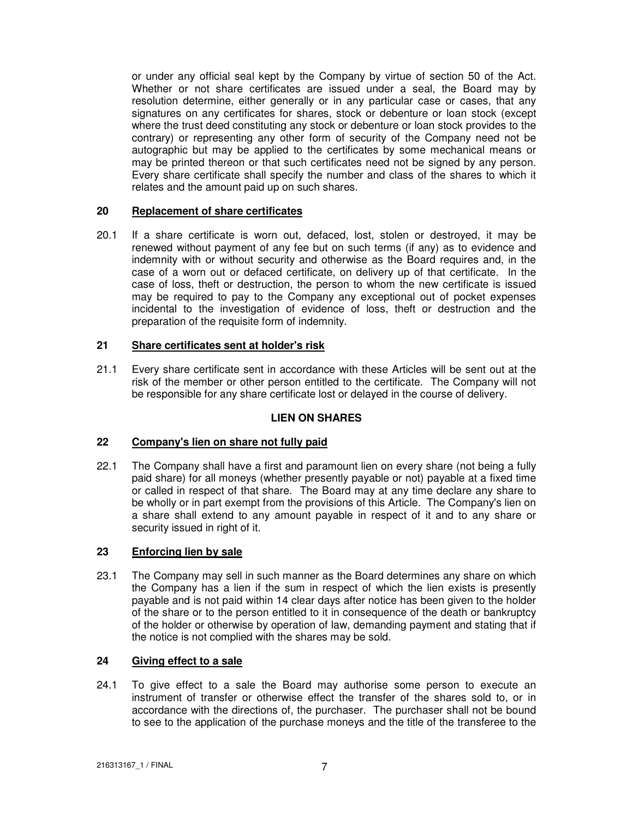or under any official seal kept by the Company by virtue of section 50 of the Act. Whether or not share certificates are issued under a seal, the Board may by resolution determine, either generally or in any particular case or cases, that any signatures on any certificates for shares, stock or debenture or loan stock (except where the trust deed constituting any stock or debenture or loan stock provides to the contrary) or representing any other form of security of the Company need not be autographic but may be applied to the certificates by some mechanical means or may be printed thereon or that such certificates need not be signed by any person. Every share certificate shall specify the number and class of the shares to which it relates and the amount paid up on such shares.

# **20 Replacement of share certificates**

20.1 If a share certificate is worn out, defaced, lost, stolen or destroyed, it may be renewed without payment of any fee but on such terms (if any) as to evidence and indemnity with or without security and otherwise as the Board requires and, in the case of a worn out or defaced certificate, on delivery up of that certificate. In the case of loss, theft or destruction, the person to whom the new certificate is issued may be required to pay to the Company any exceptional out of pocket expenses incidental to the investigation of evidence of loss, theft or destruction and the preparation of the requisite form of indemnity.

## **21 Share certificates sent at holder's risk**

21.1 Every share certificate sent in accordance with these Articles will be sent out at the risk of the member or other person entitled to the certificate. The Company will not be responsible for any share certificate lost or delayed in the course of delivery.

# **LIEN ON SHARES**

#### **22 Company's lien on share not fully paid**

22.1 The Company shall have a first and paramount lien on every share (not being a fully paid share) for all moneys (whether presently payable or not) payable at a fixed time or called in respect of that share. The Board may at any time declare any share to be wholly or in part exempt from the provisions of this Article. The Company's lien on a share shall extend to any amount payable in respect of it and to any share or security issued in right of it.

# **23 Enforcing lien by sale**

23.1 The Company may sell in such manner as the Board determines any share on which the Company has a lien if the sum in respect of which the lien exists is presently payable and is not paid within 14 clear days after notice has been given to the holder of the share or to the person entitled to it in consequence of the death or bankruptcy of the holder or otherwise by operation of law, demanding payment and stating that if the notice is not complied with the shares may be sold.

## **24 Giving effect to a sale**

24.1 To give effect to a sale the Board may authorise some person to execute an instrument of transfer or otherwise effect the transfer of the shares sold to, or in accordance with the directions of, the purchaser. The purchaser shall not be bound to see to the application of the purchase moneys and the title of the transferee to the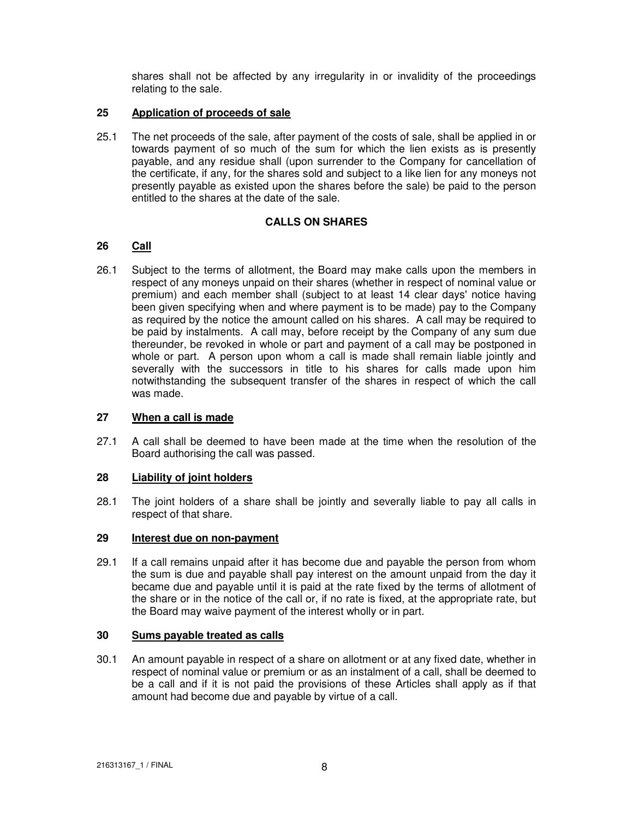shares shall not be affected by any irregularity in or invalidity of the proceedings relating to the sale.

## **25 Application of proceeds of sale**

25.1 The net proceeds of the sale, after payment of the costs of sale, shall be applied in or towards payment of so much of the sum for which the lien exists as is presently payable, and any residue shall (upon surrender to the Company for cancellation of the certificate, if any, for the shares sold and subject to a like lien for any moneys not presently payable as existed upon the shares before the sale) be paid to the person entitled to the shares at the date of the sale.

# **CALLS ON SHARES**

## **26 Call**

26.1 Subject to the terms of allotment, the Board may make calls upon the members in respect of any moneys unpaid on their shares (whether in respect of nominal value or premium) and each member shall (subject to at least 14 clear days' notice having been given specifying when and where payment is to be made) pay to the Company as required by the notice the amount called on his shares. A call may be required to be paid by instalments. A call may, before receipt by the Company of any sum due thereunder, be revoked in whole or part and payment of a call may be postponed in whole or part. A person upon whom a call is made shall remain liable jointly and severally with the successors in title to his shares for calls made upon him notwithstanding the subsequent transfer of the shares in respect of which the call was made.

#### **27 When a call is made**

27.1 A call shall be deemed to have been made at the time when the resolution of the Board authorising the call was passed.

#### **28 Liability of joint holders**

28.1 The joint holders of a share shall be jointly and severally liable to pay all calls in respect of that share.

#### **29 Interest due on non-payment**

29.1 If a call remains unpaid after it has become due and payable the person from whom the sum is due and payable shall pay interest on the amount unpaid from the day it became due and payable until it is paid at the rate fixed by the terms of allotment of the share or in the notice of the call or, if no rate is fixed, at the appropriate rate, but the Board may waive payment of the interest wholly or in part.

#### **30 Sums payable treated as calls**

30.1 An amount payable in respect of a share on allotment or at any fixed date, whether in respect of nominal value or premium or as an instalment of a call, shall be deemed to be a call and if it is not paid the provisions of these Articles shall apply as if that amount had become due and payable by virtue of a call.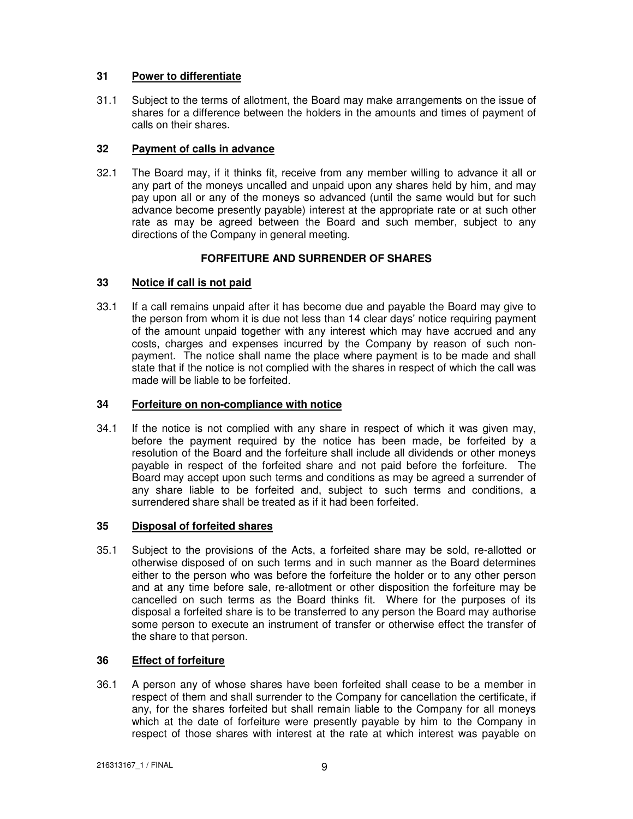# **31 Power to differentiate**

31.1 Subject to the terms of allotment, the Board may make arrangements on the issue of shares for a difference between the holders in the amounts and times of payment of calls on their shares.

# **32 Payment of calls in advance**

32.1 The Board may, if it thinks fit, receive from any member willing to advance it all or any part of the moneys uncalled and unpaid upon any shares held by him, and may pay upon all or any of the moneys so advanced (until the same would but for such advance become presently payable) interest at the appropriate rate or at such other rate as may be agreed between the Board and such member, subject to any directions of the Company in general meeting.

# **FORFEITURE AND SURRENDER OF SHARES**

# **33 Notice if call is not paid**

33.1 If a call remains unpaid after it has become due and payable the Board may give to the person from whom it is due not less than 14 clear days' notice requiring payment of the amount unpaid together with any interest which may have accrued and any costs, charges and expenses incurred by the Company by reason of such nonpayment. The notice shall name the place where payment is to be made and shall state that if the notice is not complied with the shares in respect of which the call was made will be liable to be forfeited.

# **34 Forfeiture on non-compliance with notice**

34.1 If the notice is not complied with any share in respect of which it was given may, before the payment required by the notice has been made, be forfeited by a resolution of the Board and the forfeiture shall include all dividends or other moneys payable in respect of the forfeited share and not paid before the forfeiture. The Board may accept upon such terms and conditions as may be agreed a surrender of any share liable to be forfeited and, subject to such terms and conditions, a surrendered share shall be treated as if it had been forfeited.

# **35 Disposal of forfeited shares**

35.1 Subject to the provisions of the Acts, a forfeited share may be sold, re-allotted or otherwise disposed of on such terms and in such manner as the Board determines either to the person who was before the forfeiture the holder or to any other person and at any time before sale, re-allotment or other disposition the forfeiture may be cancelled on such terms as the Board thinks fit. Where for the purposes of its disposal a forfeited share is to be transferred to any person the Board may authorise some person to execute an instrument of transfer or otherwise effect the transfer of the share to that person.

# **36 Effect of forfeiture**

36.1 A person any of whose shares have been forfeited shall cease to be a member in respect of them and shall surrender to the Company for cancellation the certificate, if any, for the shares forfeited but shall remain liable to the Company for all moneys which at the date of forfeiture were presently payable by him to the Company in respect of those shares with interest at the rate at which interest was payable on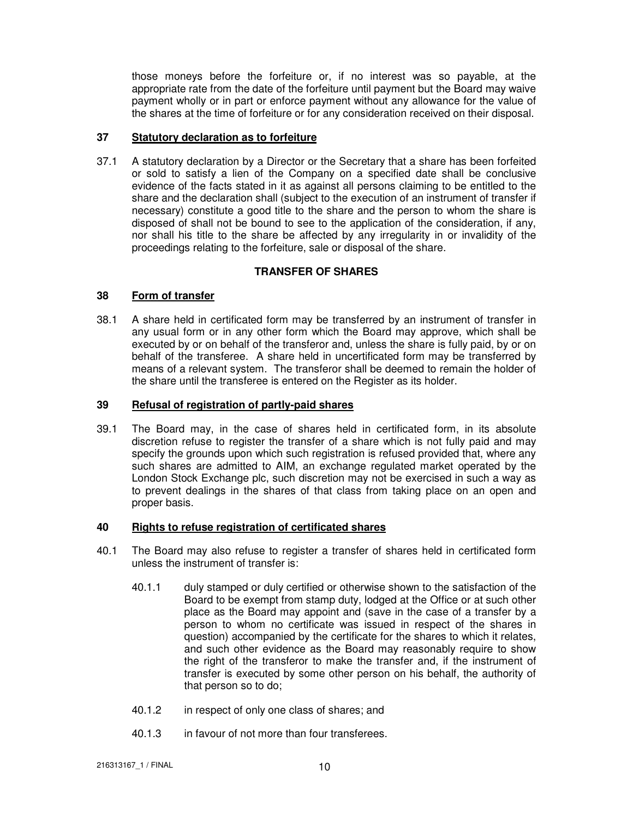those moneys before the forfeiture or, if no interest was so payable, at the appropriate rate from the date of the forfeiture until payment but the Board may waive payment wholly or in part or enforce payment without any allowance for the value of the shares at the time of forfeiture or for any consideration received on their disposal.

## **37 Statutory declaration as to forfeiture**

37.1 A statutory declaration by a Director or the Secretary that a share has been forfeited or sold to satisfy a lien of the Company on a specified date shall be conclusive evidence of the facts stated in it as against all persons claiming to be entitled to the share and the declaration shall (subject to the execution of an instrument of transfer if necessary) constitute a good title to the share and the person to whom the share is disposed of shall not be bound to see to the application of the consideration, if any, nor shall his title to the share be affected by any irregularity in or invalidity of the proceedings relating to the forfeiture, sale or disposal of the share.

# **TRANSFER OF SHARES**

# **38 Form of transfer**

38.1 A share held in certificated form may be transferred by an instrument of transfer in any usual form or in any other form which the Board may approve, which shall be executed by or on behalf of the transferor and, unless the share is fully paid, by or on behalf of the transferee. A share held in uncertificated form may be transferred by means of a relevant system. The transferor shall be deemed to remain the holder of the share until the transferee is entered on the Register as its holder.

## **39 Refusal of registration of partly-paid shares**

39.1 The Board may, in the case of shares held in certificated form, in its absolute discretion refuse to register the transfer of a share which is not fully paid and may specify the grounds upon which such registration is refused provided that, where any such shares are admitted to AIM, an exchange regulated market operated by the London Stock Exchange plc, such discretion may not be exercised in such a way as to prevent dealings in the shares of that class from taking place on an open and proper basis.

# **40 Rights to refuse registration of certificated shares**

- 40.1 The Board may also refuse to register a transfer of shares held in certificated form unless the instrument of transfer is:
	- 40.1.1 duly stamped or duly certified or otherwise shown to the satisfaction of the Board to be exempt from stamp duty, lodged at the Office or at such other place as the Board may appoint and (save in the case of a transfer by a person to whom no certificate was issued in respect of the shares in question) accompanied by the certificate for the shares to which it relates, and such other evidence as the Board may reasonably require to show the right of the transferor to make the transfer and, if the instrument of transfer is executed by some other person on his behalf, the authority of that person so to do;
	- 40.1.2 in respect of only one class of shares; and
	- 40.1.3 in favour of not more than four transferees.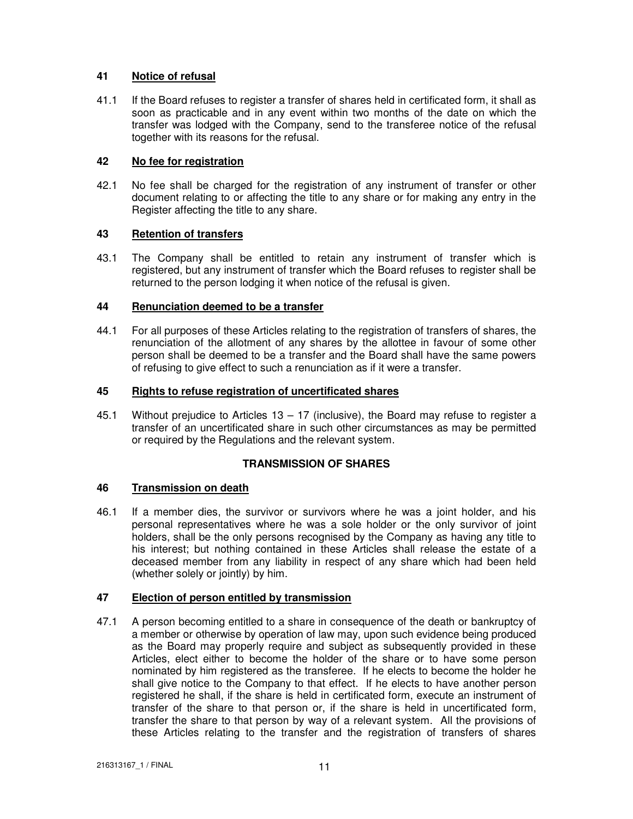# **41 Notice of refusal**

41.1 If the Board refuses to register a transfer of shares held in certificated form, it shall as soon as practicable and in any event within two months of the date on which the transfer was lodged with the Company, send to the transferee notice of the refusal together with its reasons for the refusal.

# **42 No fee for registration**

42.1 No fee shall be charged for the registration of any instrument of transfer or other document relating to or affecting the title to any share or for making any entry in the Register affecting the title to any share.

# **43 Retention of transfers**

43.1 The Company shall be entitled to retain any instrument of transfer which is registered, but any instrument of transfer which the Board refuses to register shall be returned to the person lodging it when notice of the refusal is given.

# **44 Renunciation deemed to be a transfer**

44.1 For all purposes of these Articles relating to the registration of transfers of shares, the renunciation of the allotment of any shares by the allottee in favour of some other person shall be deemed to be a transfer and the Board shall have the same powers of refusing to give effect to such a renunciation as if it were a transfer.

# **45 Rights to refuse registration of uncertificated shares**

45.1 Without prejudice to Articles 13 – 17 (inclusive), the Board may refuse to register a transfer of an uncertificated share in such other circumstances as may be permitted or required by the Regulations and the relevant system.

# **TRANSMISSION OF SHARES**

# **46 Transmission on death**

46.1 If a member dies, the survivor or survivors where he was a joint holder, and his personal representatives where he was a sole holder or the only survivor of joint holders, shall be the only persons recognised by the Company as having any title to his interest; but nothing contained in these Articles shall release the estate of a deceased member from any liability in respect of any share which had been held (whether solely or jointly) by him.

# **47 Election of person entitled by transmission**

47.1 A person becoming entitled to a share in consequence of the death or bankruptcy of a member or otherwise by operation of law may, upon such evidence being produced as the Board may properly require and subject as subsequently provided in these Articles, elect either to become the holder of the share or to have some person nominated by him registered as the transferee. If he elects to become the holder he shall give notice to the Company to that effect. If he elects to have another person registered he shall, if the share is held in certificated form, execute an instrument of transfer of the share to that person or, if the share is held in uncertificated form, transfer the share to that person by way of a relevant system. All the provisions of these Articles relating to the transfer and the registration of transfers of shares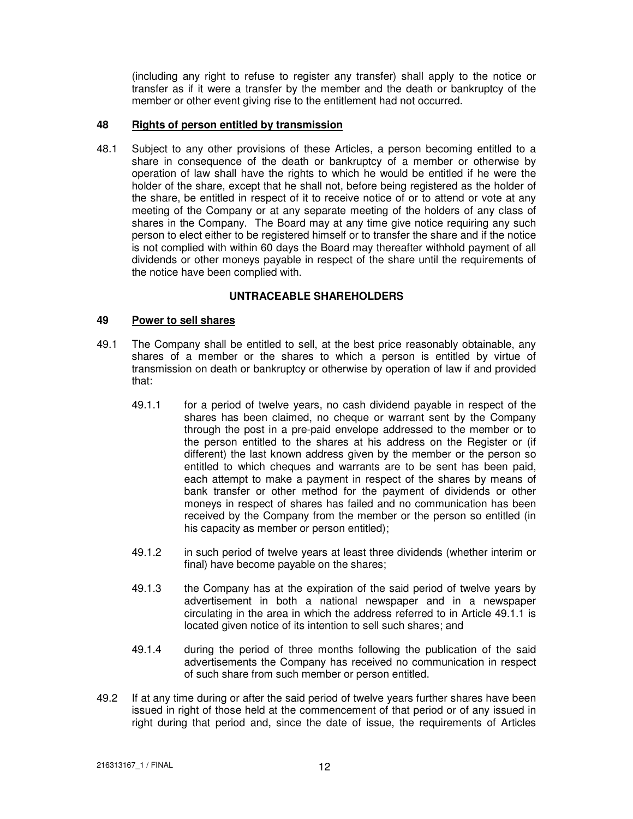(including any right to refuse to register any transfer) shall apply to the notice or transfer as if it were a transfer by the member and the death or bankruptcy of the member or other event giving rise to the entitlement had not occurred.

# **48 Rights of person entitled by transmission**

48.1 Subject to any other provisions of these Articles, a person becoming entitled to a share in consequence of the death or bankruptcy of a member or otherwise by operation of law shall have the rights to which he would be entitled if he were the holder of the share, except that he shall not, before being registered as the holder of the share, be entitled in respect of it to receive notice of or to attend or vote at any meeting of the Company or at any separate meeting of the holders of any class of shares in the Company. The Board may at any time give notice requiring any such person to elect either to be registered himself or to transfer the share and if the notice is not complied with within 60 days the Board may thereafter withhold payment of all dividends or other moneys payable in respect of the share until the requirements of the notice have been complied with.

# **UNTRACEABLE SHAREHOLDERS**

# **49 Power to sell shares**

- 49.1 The Company shall be entitled to sell, at the best price reasonably obtainable, any shares of a member or the shares to which a person is entitled by virtue of transmission on death or bankruptcy or otherwise by operation of law if and provided that:
	- 49.1.1 for a period of twelve years, no cash dividend payable in respect of the shares has been claimed, no cheque or warrant sent by the Company through the post in a pre-paid envelope addressed to the member or to the person entitled to the shares at his address on the Register or (if different) the last known address given by the member or the person so entitled to which cheques and warrants are to be sent has been paid, each attempt to make a payment in respect of the shares by means of bank transfer or other method for the payment of dividends or other moneys in respect of shares has failed and no communication has been received by the Company from the member or the person so entitled (in his capacity as member or person entitled);
	- 49.1.2 in such period of twelve years at least three dividends (whether interim or final) have become payable on the shares;
	- 49.1.3 the Company has at the expiration of the said period of twelve years by advertisement in both a national newspaper and in a newspaper circulating in the area in which the address referred to in Article 49.1.1 is located given notice of its intention to sell such shares; and
	- 49.1.4 during the period of three months following the publication of the said advertisements the Company has received no communication in respect of such share from such member or person entitled.
- 49.2 If at any time during or after the said period of twelve years further shares have been issued in right of those held at the commencement of that period or of any issued in right during that period and, since the date of issue, the requirements of Articles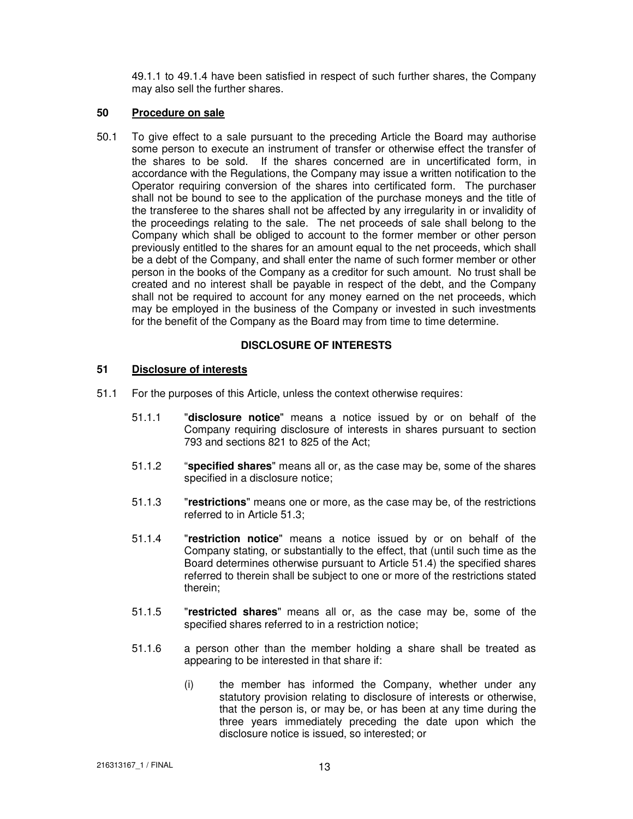49.1.1 to 49.1.4 have been satisfied in respect of such further shares, the Company may also sell the further shares.

## **50 Procedure on sale**

50.1 To give effect to a sale pursuant to the preceding Article the Board may authorise some person to execute an instrument of transfer or otherwise effect the transfer of the shares to be sold. If the shares concerned are in uncertificated form, in accordance with the Regulations, the Company may issue a written notification to the Operator requiring conversion of the shares into certificated form. The purchaser shall not be bound to see to the application of the purchase moneys and the title of the transferee to the shares shall not be affected by any irregularity in or invalidity of the proceedings relating to the sale. The net proceeds of sale shall belong to the Company which shall be obliged to account to the former member or other person previously entitled to the shares for an amount equal to the net proceeds, which shall be a debt of the Company, and shall enter the name of such former member or other person in the books of the Company as a creditor for such amount. No trust shall be created and no interest shall be payable in respect of the debt, and the Company shall not be required to account for any money earned on the net proceeds, which may be employed in the business of the Company or invested in such investments for the benefit of the Company as the Board may from time to time determine.

## **DISCLOSURE OF INTERESTS**

# **51 Disclosure of interests**

- 51.1 For the purposes of this Article, unless the context otherwise requires:
	- 51.1.1 "**disclosure notice**" means a notice issued by or on behalf of the Company requiring disclosure of interests in shares pursuant to section 793 and sections 821 to 825 of the Act;
	- 51.1.2 "**specified shares**" means all or, as the case may be, some of the shares specified in a disclosure notice;
	- 51.1.3 "**restrictions**" means one or more, as the case may be, of the restrictions referred to in Article 51.3;
	- 51.1.4 "**restriction notice**" means a notice issued by or on behalf of the Company stating, or substantially to the effect, that (until such time as the Board determines otherwise pursuant to Article 51.4) the specified shares referred to therein shall be subject to one or more of the restrictions stated therein;
	- 51.1.5 "**restricted shares**" means all or, as the case may be, some of the specified shares referred to in a restriction notice;
	- 51.1.6 a person other than the member holding a share shall be treated as appearing to be interested in that share if:
		- (i) the member has informed the Company, whether under any statutory provision relating to disclosure of interests or otherwise, that the person is, or may be, or has been at any time during the three years immediately preceding the date upon which the disclosure notice is issued, so interested; or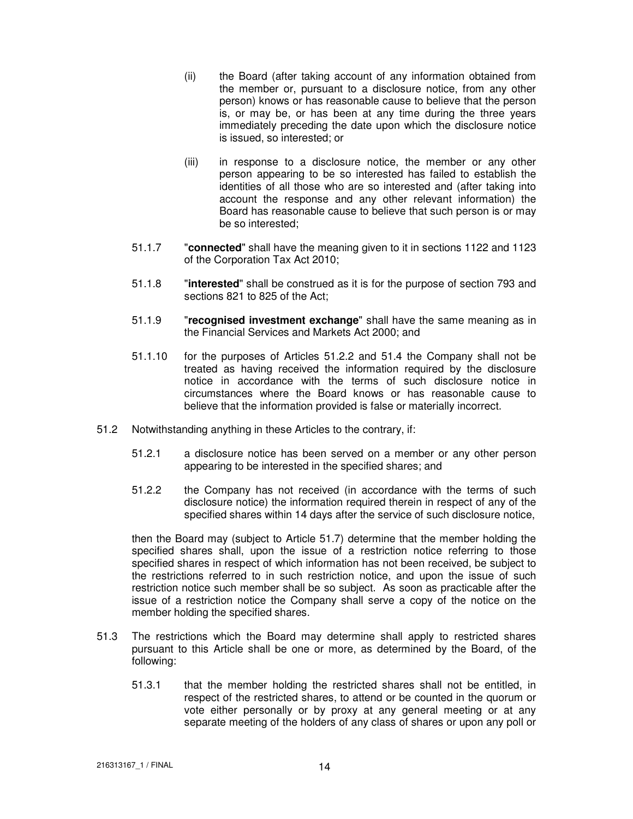- (ii) the Board (after taking account of any information obtained from the member or, pursuant to a disclosure notice, from any other person) knows or has reasonable cause to believe that the person is, or may be, or has been at any time during the three years immediately preceding the date upon which the disclosure notice is issued, so interested; or
- (iii) in response to a disclosure notice, the member or any other person appearing to be so interested has failed to establish the identities of all those who are so interested and (after taking into account the response and any other relevant information) the Board has reasonable cause to believe that such person is or may be so interested;
- 51.1.7 "**connected**" shall have the meaning given to it in sections 1122 and 1123 of the Corporation Tax Act 2010;
- 51.1.8 "**interested**" shall be construed as it is for the purpose of section 793 and sections 821 to 825 of the Act;
- 51.1.9 "**recognised investment exchange**" shall have the same meaning as in the Financial Services and Markets Act 2000; and
- 51.1.10 for the purposes of Articles 51.2.2 and 51.4 the Company shall not be treated as having received the information required by the disclosure notice in accordance with the terms of such disclosure notice in circumstances where the Board knows or has reasonable cause to believe that the information provided is false or materially incorrect.
- 51.2 Notwithstanding anything in these Articles to the contrary, if:
	- 51.2.1 a disclosure notice has been served on a member or any other person appearing to be interested in the specified shares; and
	- 51.2.2 the Company has not received (in accordance with the terms of such disclosure notice) the information required therein in respect of any of the specified shares within 14 days after the service of such disclosure notice,

then the Board may (subject to Article 51.7) determine that the member holding the specified shares shall, upon the issue of a restriction notice referring to those specified shares in respect of which information has not been received, be subject to the restrictions referred to in such restriction notice, and upon the issue of such restriction notice such member shall be so subject. As soon as practicable after the issue of a restriction notice the Company shall serve a copy of the notice on the member holding the specified shares.

- 51.3 The restrictions which the Board may determine shall apply to restricted shares pursuant to this Article shall be one or more, as determined by the Board, of the following:
	- 51.3.1 that the member holding the restricted shares shall not be entitled, in respect of the restricted shares, to attend or be counted in the quorum or vote either personally or by proxy at any general meeting or at any separate meeting of the holders of any class of shares or upon any poll or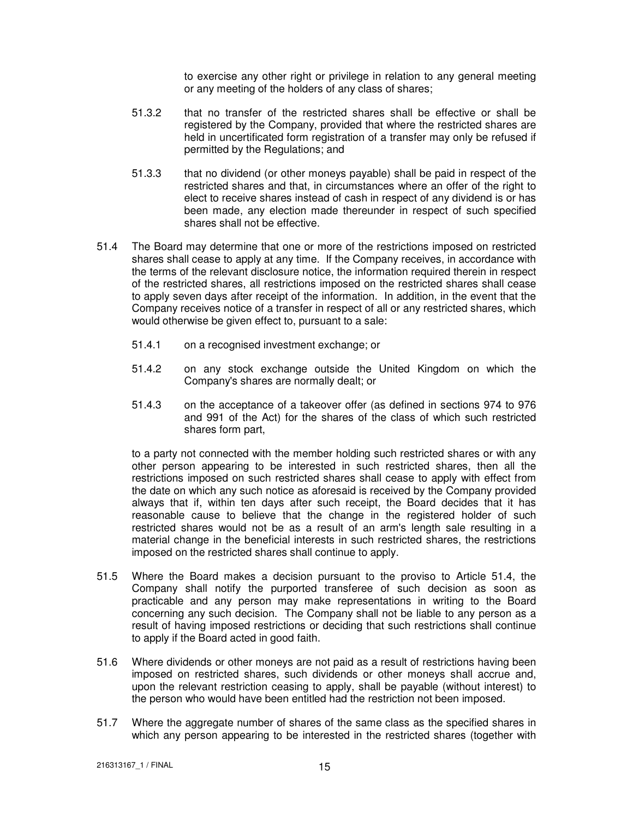to exercise any other right or privilege in relation to any general meeting or any meeting of the holders of any class of shares;

- 51.3.2 that no transfer of the restricted shares shall be effective or shall be registered by the Company, provided that where the restricted shares are held in uncertificated form registration of a transfer may only be refused if permitted by the Regulations; and
- 51.3.3 that no dividend (or other moneys payable) shall be paid in respect of the restricted shares and that, in circumstances where an offer of the right to elect to receive shares instead of cash in respect of any dividend is or has been made, any election made thereunder in respect of such specified shares shall not be effective.
- 51.4 The Board may determine that one or more of the restrictions imposed on restricted shares shall cease to apply at any time. If the Company receives, in accordance with the terms of the relevant disclosure notice, the information required therein in respect of the restricted shares, all restrictions imposed on the restricted shares shall cease to apply seven days after receipt of the information. In addition, in the event that the Company receives notice of a transfer in respect of all or any restricted shares, which would otherwise be given effect to, pursuant to a sale:
	- 51.4.1 on a recognised investment exchange; or
	- 51.4.2 on any stock exchange outside the United Kingdom on which the Company's shares are normally dealt; or
	- 51.4.3 on the acceptance of a takeover offer (as defined in sections 974 to 976 and 991 of the Act) for the shares of the class of which such restricted shares form part,

to a party not connected with the member holding such restricted shares or with any other person appearing to be interested in such restricted shares, then all the restrictions imposed on such restricted shares shall cease to apply with effect from the date on which any such notice as aforesaid is received by the Company provided always that if, within ten days after such receipt, the Board decides that it has reasonable cause to believe that the change in the registered holder of such restricted shares would not be as a result of an arm's length sale resulting in a material change in the beneficial interests in such restricted shares, the restrictions imposed on the restricted shares shall continue to apply.

- 51.5 Where the Board makes a decision pursuant to the proviso to Article 51.4, the Company shall notify the purported transferee of such decision as soon as practicable and any person may make representations in writing to the Board concerning any such decision. The Company shall not be liable to any person as a result of having imposed restrictions or deciding that such restrictions shall continue to apply if the Board acted in good faith.
- 51.6 Where dividends or other moneys are not paid as a result of restrictions having been imposed on restricted shares, such dividends or other moneys shall accrue and, upon the relevant restriction ceasing to apply, shall be payable (without interest) to the person who would have been entitled had the restriction not been imposed.
- 51.7 Where the aggregate number of shares of the same class as the specified shares in which any person appearing to be interested in the restricted shares (together with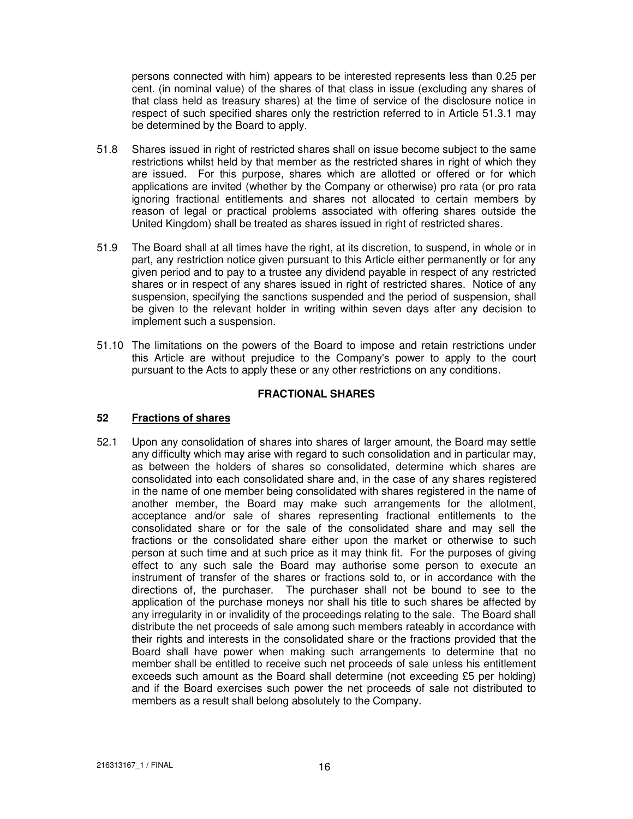persons connected with him) appears to be interested represents less than 0.25 per cent. (in nominal value) of the shares of that class in issue (excluding any shares of that class held as treasury shares) at the time of service of the disclosure notice in respect of such specified shares only the restriction referred to in Article 51.3.1 may be determined by the Board to apply.

- 51.8 Shares issued in right of restricted shares shall on issue become subject to the same restrictions whilst held by that member as the restricted shares in right of which they are issued. For this purpose, shares which are allotted or offered or for which applications are invited (whether by the Company or otherwise) pro rata (or pro rata ignoring fractional entitlements and shares not allocated to certain members by reason of legal or practical problems associated with offering shares outside the United Kingdom) shall be treated as shares issued in right of restricted shares.
- 51.9 The Board shall at all times have the right, at its discretion, to suspend, in whole or in part, any restriction notice given pursuant to this Article either permanently or for any given period and to pay to a trustee any dividend payable in respect of any restricted shares or in respect of any shares issued in right of restricted shares. Notice of any suspension, specifying the sanctions suspended and the period of suspension, shall be given to the relevant holder in writing within seven days after any decision to implement such a suspension.
- 51.10 The limitations on the powers of the Board to impose and retain restrictions under this Article are without prejudice to the Company's power to apply to the court pursuant to the Acts to apply these or any other restrictions on any conditions.

## **FRACTIONAL SHARES**

# **52 Fractions of shares**

52.1 Upon any consolidation of shares into shares of larger amount, the Board may settle any difficulty which may arise with regard to such consolidation and in particular may, as between the holders of shares so consolidated, determine which shares are consolidated into each consolidated share and, in the case of any shares registered in the name of one member being consolidated with shares registered in the name of another member, the Board may make such arrangements for the allotment, acceptance and/or sale of shares representing fractional entitlements to the consolidated share or for the sale of the consolidated share and may sell the fractions or the consolidated share either upon the market or otherwise to such person at such time and at such price as it may think fit. For the purposes of giving effect to any such sale the Board may authorise some person to execute an instrument of transfer of the shares or fractions sold to, or in accordance with the directions of, the purchaser. The purchaser shall not be bound to see to the application of the purchase moneys nor shall his title to such shares be affected by any irregularity in or invalidity of the proceedings relating to the sale. The Board shall distribute the net proceeds of sale among such members rateably in accordance with their rights and interests in the consolidated share or the fractions provided that the Board shall have power when making such arrangements to determine that no member shall be entitled to receive such net proceeds of sale unless his entitlement exceeds such amount as the Board shall determine (not exceeding £5 per holding) and if the Board exercises such power the net proceeds of sale not distributed to members as a result shall belong absolutely to the Company.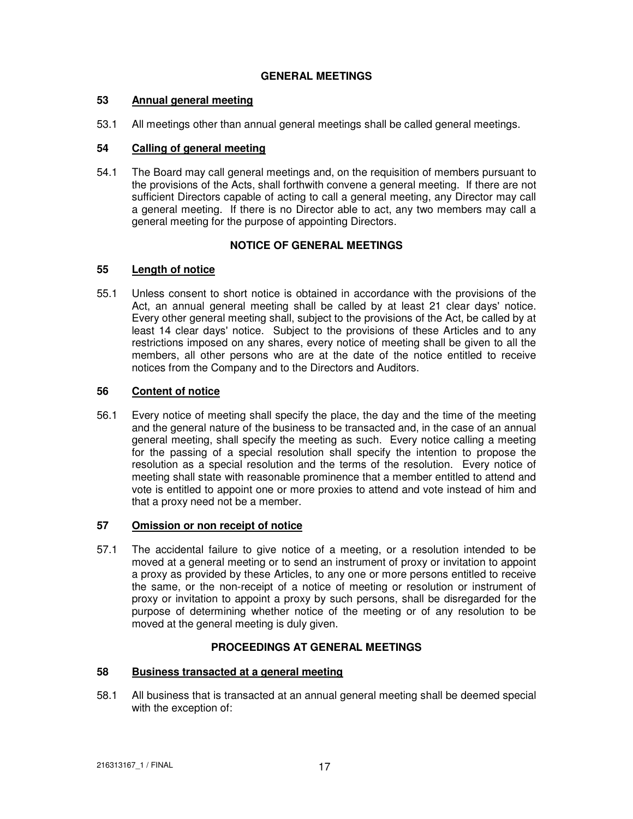# **GENERAL MEETINGS**

## **53 Annual general meeting**

53.1 All meetings other than annual general meetings shall be called general meetings.

## **54 Calling of general meeting**

54.1 The Board may call general meetings and, on the requisition of members pursuant to the provisions of the Acts, shall forthwith convene a general meeting. If there are not sufficient Directors capable of acting to call a general meeting, any Director may call a general meeting. If there is no Director able to act, any two members may call a general meeting for the purpose of appointing Directors.

## **NOTICE OF GENERAL MEETINGS**

# **55 Length of notice**

55.1 Unless consent to short notice is obtained in accordance with the provisions of the Act, an annual general meeting shall be called by at least 21 clear days' notice. Every other general meeting shall, subject to the provisions of the Act, be called by at least 14 clear days' notice. Subject to the provisions of these Articles and to any restrictions imposed on any shares, every notice of meeting shall be given to all the members, all other persons who are at the date of the notice entitled to receive notices from the Company and to the Directors and Auditors.

## **56 Content of notice**

56.1 Every notice of meeting shall specify the place, the day and the time of the meeting and the general nature of the business to be transacted and, in the case of an annual general meeting, shall specify the meeting as such. Every notice calling a meeting for the passing of a special resolution shall specify the intention to propose the resolution as a special resolution and the terms of the resolution. Every notice of meeting shall state with reasonable prominence that a member entitled to attend and vote is entitled to appoint one or more proxies to attend and vote instead of him and that a proxy need not be a member.

# **57 Omission or non receipt of notice**

57.1 The accidental failure to give notice of a meeting, or a resolution intended to be moved at a general meeting or to send an instrument of proxy or invitation to appoint a proxy as provided by these Articles, to any one or more persons entitled to receive the same, or the non-receipt of a notice of meeting or resolution or instrument of proxy or invitation to appoint a proxy by such persons, shall be disregarded for the purpose of determining whether notice of the meeting or of any resolution to be moved at the general meeting is duly given.

# **PROCEEDINGS AT GENERAL MEETINGS**

# **58 Business transacted at a general meeting**

58.1 All business that is transacted at an annual general meeting shall be deemed special with the exception of: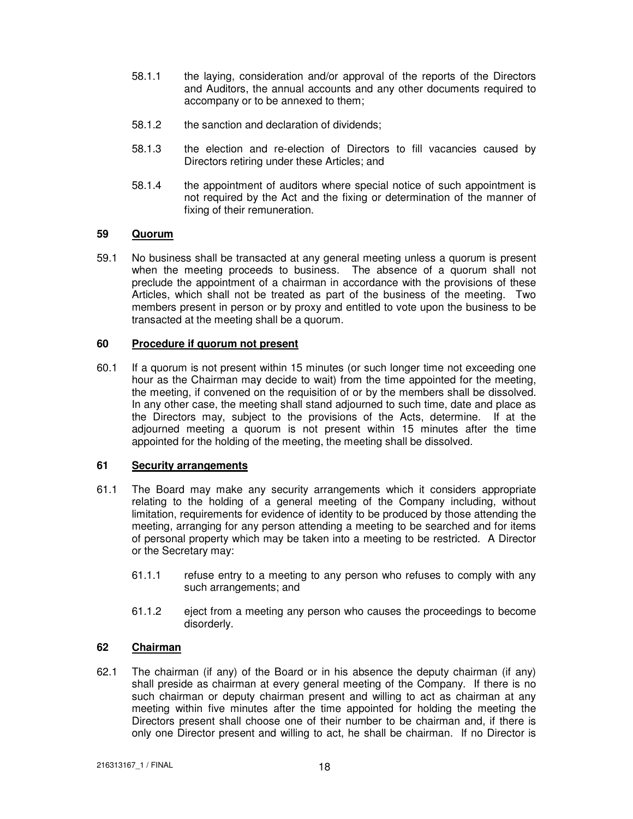- 58.1.1 the laying, consideration and/or approval of the reports of the Directors and Auditors, the annual accounts and any other documents required to accompany or to be annexed to them;
- 58.1.2 the sanction and declaration of dividends;
- 58.1.3 the election and re-election of Directors to fill vacancies caused by Directors retiring under these Articles; and
- 58.1.4 the appointment of auditors where special notice of such appointment is not required by the Act and the fixing or determination of the manner of fixing of their remuneration.

# **59 Quorum**

59.1 No business shall be transacted at any general meeting unless a quorum is present when the meeting proceeds to business. The absence of a quorum shall not preclude the appointment of a chairman in accordance with the provisions of these Articles, which shall not be treated as part of the business of the meeting. Two members present in person or by proxy and entitled to vote upon the business to be transacted at the meeting shall be a quorum.

# **60 Procedure if quorum not present**

60.1 If a quorum is not present within 15 minutes (or such longer time not exceeding one hour as the Chairman may decide to wait) from the time appointed for the meeting, the meeting, if convened on the requisition of or by the members shall be dissolved. In any other case, the meeting shall stand adjourned to such time, date and place as the Directors may, subject to the provisions of the Acts, determine. If at the adjourned meeting a quorum is not present within 15 minutes after the time appointed for the holding of the meeting, the meeting shall be dissolved.

# **61 Security arrangements**

- 61.1 The Board may make any security arrangements which it considers appropriate relating to the holding of a general meeting of the Company including, without limitation, requirements for evidence of identity to be produced by those attending the meeting, arranging for any person attending a meeting to be searched and for items of personal property which may be taken into a meeting to be restricted. A Director or the Secretary may:
	- 61.1.1 refuse entry to a meeting to any person who refuses to comply with any such arrangements; and
	- 61.1.2 eject from a meeting any person who causes the proceedings to become disorderly.

# **62 Chairman**

62.1 The chairman (if any) of the Board or in his absence the deputy chairman (if any) shall preside as chairman at every general meeting of the Company. If there is no such chairman or deputy chairman present and willing to act as chairman at any meeting within five minutes after the time appointed for holding the meeting the Directors present shall choose one of their number to be chairman and, if there is only one Director present and willing to act, he shall be chairman. If no Director is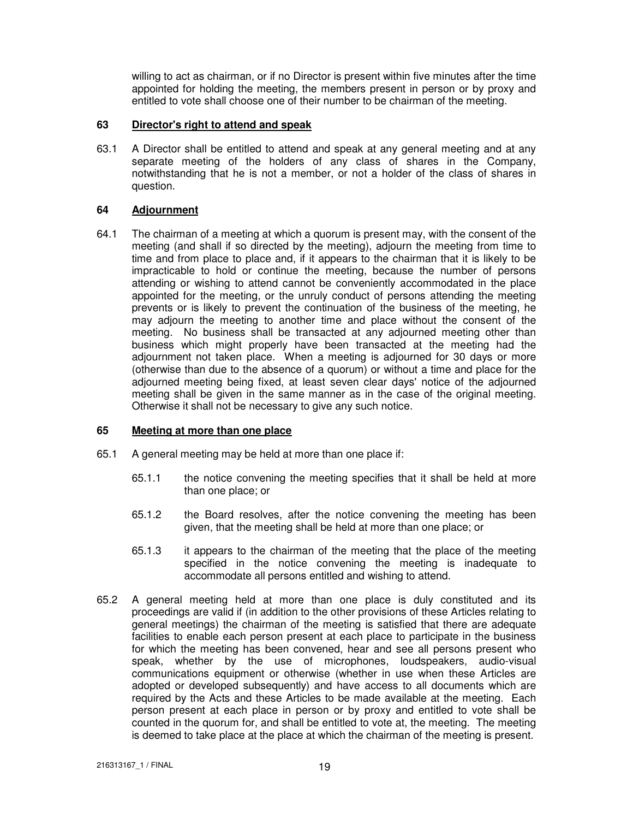willing to act as chairman, or if no Director is present within five minutes after the time appointed for holding the meeting, the members present in person or by proxy and entitled to vote shall choose one of their number to be chairman of the meeting.

# **63 Director's right to attend and speak**

63.1 A Director shall be entitled to attend and speak at any general meeting and at any separate meeting of the holders of any class of shares in the Company, notwithstanding that he is not a member, or not a holder of the class of shares in question.

# **64 Adjournment**

64.1 The chairman of a meeting at which a quorum is present may, with the consent of the meeting (and shall if so directed by the meeting), adjourn the meeting from time to time and from place to place and, if it appears to the chairman that it is likely to be impracticable to hold or continue the meeting, because the number of persons attending or wishing to attend cannot be conveniently accommodated in the place appointed for the meeting, or the unruly conduct of persons attending the meeting prevents or is likely to prevent the continuation of the business of the meeting, he may adjourn the meeting to another time and place without the consent of the meeting. No business shall be transacted at any adjourned meeting other than business which might properly have been transacted at the meeting had the adjournment not taken place. When a meeting is adjourned for 30 days or more (otherwise than due to the absence of a quorum) or without a time and place for the adjourned meeting being fixed, at least seven clear days' notice of the adjourned meeting shall be given in the same manner as in the case of the original meeting. Otherwise it shall not be necessary to give any such notice.

# **65 Meeting at more than one place**

- 65.1 A general meeting may be held at more than one place if:
	- 65.1.1 the notice convening the meeting specifies that it shall be held at more than one place; or
	- 65.1.2 the Board resolves, after the notice convening the meeting has been given, that the meeting shall be held at more than one place; or
	- 65.1.3 it appears to the chairman of the meeting that the place of the meeting specified in the notice convening the meeting is inadequate to accommodate all persons entitled and wishing to attend.
- 65.2 A general meeting held at more than one place is duly constituted and its proceedings are valid if (in addition to the other provisions of these Articles relating to general meetings) the chairman of the meeting is satisfied that there are adequate facilities to enable each person present at each place to participate in the business for which the meeting has been convened, hear and see all persons present who speak, whether by the use of microphones, loudspeakers, audio-visual communications equipment or otherwise (whether in use when these Articles are adopted or developed subsequently) and have access to all documents which are required by the Acts and these Articles to be made available at the meeting. Each person present at each place in person or by proxy and entitled to vote shall be counted in the quorum for, and shall be entitled to vote at, the meeting. The meeting is deemed to take place at the place at which the chairman of the meeting is present.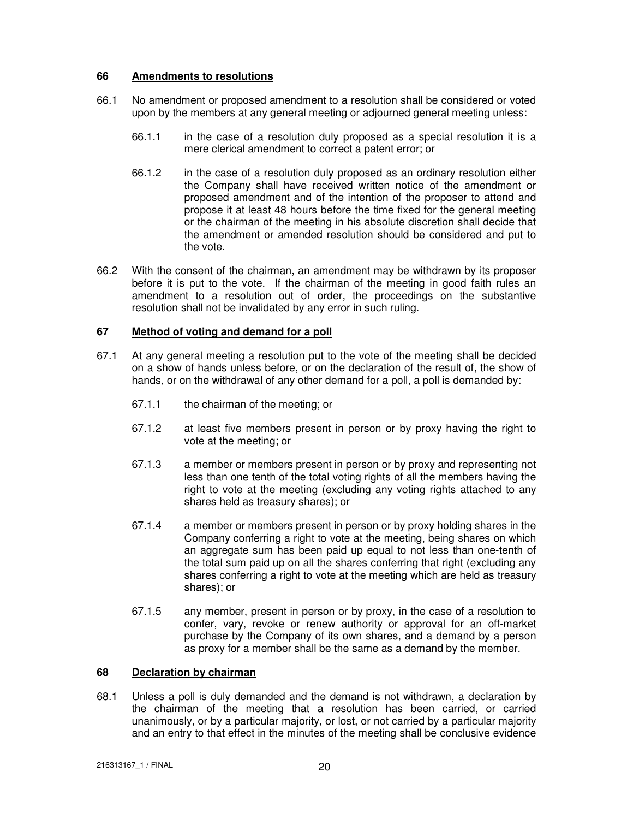## **66 Amendments to resolutions**

- 66.1 No amendment or proposed amendment to a resolution shall be considered or voted upon by the members at any general meeting or adjourned general meeting unless:
	- 66.1.1 in the case of a resolution duly proposed as a special resolution it is a mere clerical amendment to correct a patent error; or
	- 66.1.2 in the case of a resolution duly proposed as an ordinary resolution either the Company shall have received written notice of the amendment or proposed amendment and of the intention of the proposer to attend and propose it at least 48 hours before the time fixed for the general meeting or the chairman of the meeting in his absolute discretion shall decide that the amendment or amended resolution should be considered and put to the vote.
- 66.2 With the consent of the chairman, an amendment may be withdrawn by its proposer before it is put to the vote. If the chairman of the meeting in good faith rules an amendment to a resolution out of order, the proceedings on the substantive resolution shall not be invalidated by any error in such ruling.

# **67 Method of voting and demand for a poll**

- 67.1 At any general meeting a resolution put to the vote of the meeting shall be decided on a show of hands unless before, or on the declaration of the result of, the show of hands, or on the withdrawal of any other demand for a poll, a poll is demanded by:
	- 67.1.1 the chairman of the meeting; or
	- 67.1.2 at least five members present in person or by proxy having the right to vote at the meeting; or
	- 67.1.3 a member or members present in person or by proxy and representing not less than one tenth of the total voting rights of all the members having the right to vote at the meeting (excluding any voting rights attached to any shares held as treasury shares); or
	- 67.1.4 a member or members present in person or by proxy holding shares in the Company conferring a right to vote at the meeting, being shares on which an aggregate sum has been paid up equal to not less than one-tenth of the total sum paid up on all the shares conferring that right (excluding any shares conferring a right to vote at the meeting which are held as treasury shares); or
	- 67.1.5 any member, present in person or by proxy, in the case of a resolution to confer, vary, revoke or renew authority or approval for an off-market purchase by the Company of its own shares, and a demand by a person as proxy for a member shall be the same as a demand by the member.

# **68 Declaration by chairman**

68.1 Unless a poll is duly demanded and the demand is not withdrawn, a declaration by the chairman of the meeting that a resolution has been carried, or carried unanimously, or by a particular majority, or lost, or not carried by a particular majority and an entry to that effect in the minutes of the meeting shall be conclusive evidence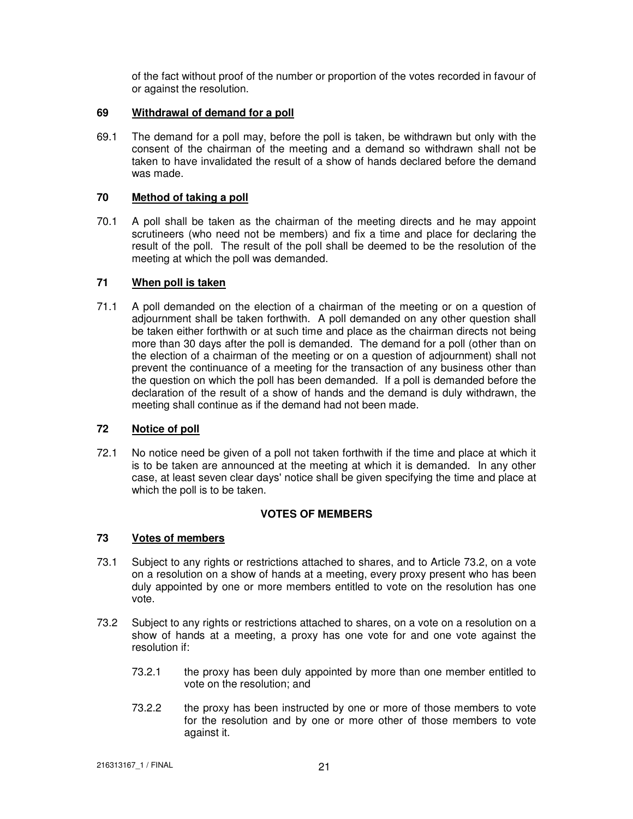of the fact without proof of the number or proportion of the votes recorded in favour of or against the resolution.

## **69 Withdrawal of demand for a poll**

69.1 The demand for a poll may, before the poll is taken, be withdrawn but only with the consent of the chairman of the meeting and a demand so withdrawn shall not be taken to have invalidated the result of a show of hands declared before the demand was made.

## **70 Method of taking a poll**

70.1 A poll shall be taken as the chairman of the meeting directs and he may appoint scrutineers (who need not be members) and fix a time and place for declaring the result of the poll. The result of the poll shall be deemed to be the resolution of the meeting at which the poll was demanded.

## **71 When poll is taken**

71.1 A poll demanded on the election of a chairman of the meeting or on a question of adjournment shall be taken forthwith. A poll demanded on any other question shall be taken either forthwith or at such time and place as the chairman directs not being more than 30 days after the poll is demanded. The demand for a poll (other than on the election of a chairman of the meeting or on a question of adjournment) shall not prevent the continuance of a meeting for the transaction of any business other than the question on which the poll has been demanded. If a poll is demanded before the declaration of the result of a show of hands and the demand is duly withdrawn, the meeting shall continue as if the demand had not been made.

# **72 Notice of poll**

72.1 No notice need be given of a poll not taken forthwith if the time and place at which it is to be taken are announced at the meeting at which it is demanded. In any other case, at least seven clear days' notice shall be given specifying the time and place at which the poll is to be taken.

# **VOTES OF MEMBERS**

#### **73 Votes of members**

- 73.1 Subject to any rights or restrictions attached to shares, and to Article 73.2, on a vote on a resolution on a show of hands at a meeting, every proxy present who has been duly appointed by one or more members entitled to vote on the resolution has one vote.
- 73.2 Subject to any rights or restrictions attached to shares, on a vote on a resolution on a show of hands at a meeting, a proxy has one vote for and one vote against the resolution if:
	- 73.2.1 the proxy has been duly appointed by more than one member entitled to vote on the resolution; and
	- 73.2.2 the proxy has been instructed by one or more of those members to vote for the resolution and by one or more other of those members to vote against it.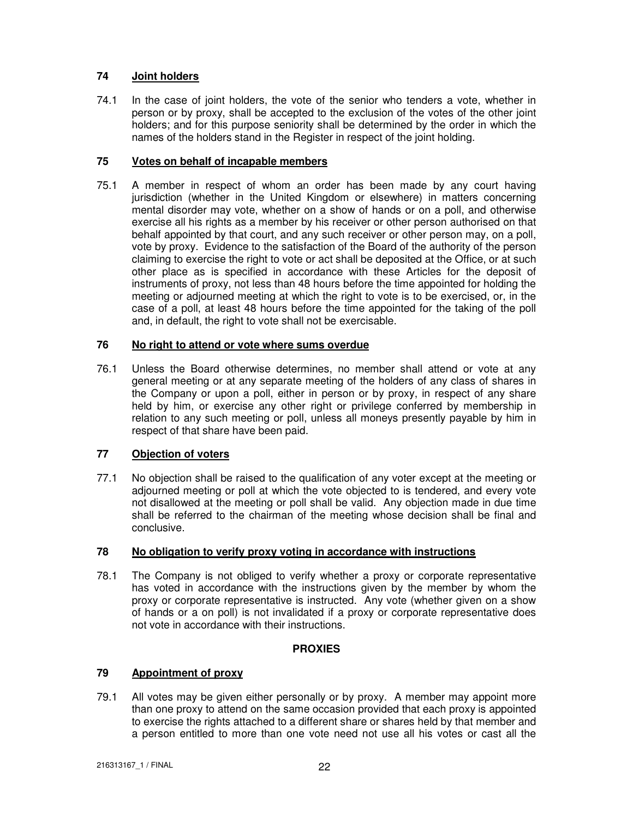# **74 Joint holders**

74.1 In the case of joint holders, the vote of the senior who tenders a vote, whether in person or by proxy, shall be accepted to the exclusion of the votes of the other joint holders; and for this purpose seniority shall be determined by the order in which the names of the holders stand in the Register in respect of the joint holding.

# **75 Votes on behalf of incapable members**

75.1 A member in respect of whom an order has been made by any court having jurisdiction (whether in the United Kingdom or elsewhere) in matters concerning mental disorder may vote, whether on a show of hands or on a poll, and otherwise exercise all his rights as a member by his receiver or other person authorised on that behalf appointed by that court, and any such receiver or other person may, on a poll, vote by proxy. Evidence to the satisfaction of the Board of the authority of the person claiming to exercise the right to vote or act shall be deposited at the Office, or at such other place as is specified in accordance with these Articles for the deposit of instruments of proxy, not less than 48 hours before the time appointed for holding the meeting or adjourned meeting at which the right to vote is to be exercised, or, in the case of a poll, at least 48 hours before the time appointed for the taking of the poll and, in default, the right to vote shall not be exercisable.

# **76 No right to attend or vote where sums overdue**

76.1 Unless the Board otherwise determines, no member shall attend or vote at any general meeting or at any separate meeting of the holders of any class of shares in the Company or upon a poll, either in person or by proxy, in respect of any share held by him, or exercise any other right or privilege conferred by membership in relation to any such meeting or poll, unless all moneys presently payable by him in respect of that share have been paid.

# **77 Objection of voters**

77.1 No objection shall be raised to the qualification of any voter except at the meeting or adjourned meeting or poll at which the vote objected to is tendered, and every vote not disallowed at the meeting or poll shall be valid. Any objection made in due time shall be referred to the chairman of the meeting whose decision shall be final and conclusive.

# **78 No obligation to verify proxy voting in accordance with instructions**

78.1 The Company is not obliged to verify whether a proxy or corporate representative has voted in accordance with the instructions given by the member by whom the proxy or corporate representative is instructed. Any vote (whether given on a show of hands or a on poll) is not invalidated if a proxy or corporate representative does not vote in accordance with their instructions.

# **PROXIES**

# **79 Appointment of proxy**

79.1 All votes may be given either personally or by proxy. A member may appoint more than one proxy to attend on the same occasion provided that each proxy is appointed to exercise the rights attached to a different share or shares held by that member and a person entitled to more than one vote need not use all his votes or cast all the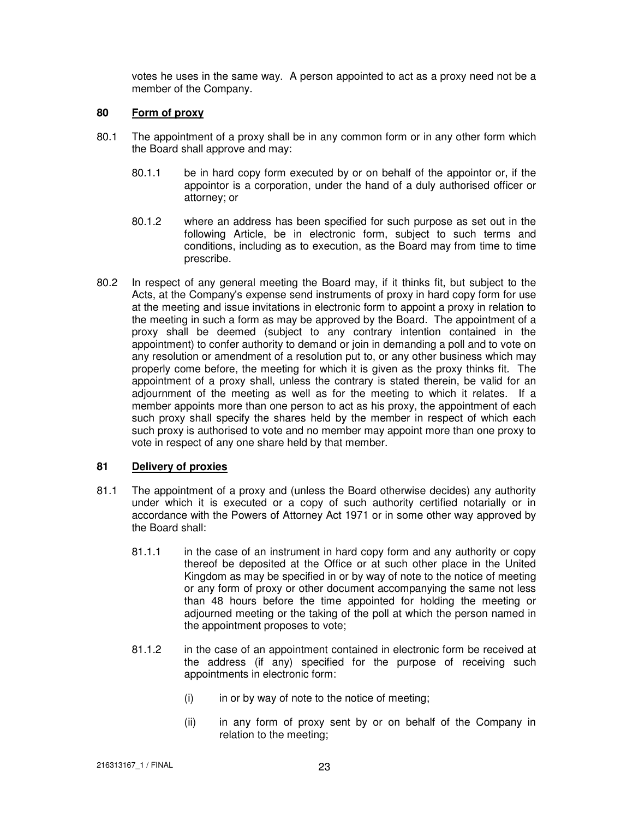votes he uses in the same way. A person appointed to act as a proxy need not be a member of the Company.

## **80 Form of proxy**

- 80.1 The appointment of a proxy shall be in any common form or in any other form which the Board shall approve and may:
	- 80.1.1 be in hard copy form executed by or on behalf of the appointor or, if the appointor is a corporation, under the hand of a duly authorised officer or attorney; or
	- 80.1.2 where an address has been specified for such purpose as set out in the following Article, be in electronic form, subject to such terms and conditions, including as to execution, as the Board may from time to time prescribe.
- 80.2 In respect of any general meeting the Board may, if it thinks fit, but subject to the Acts, at the Company's expense send instruments of proxy in hard copy form for use at the meeting and issue invitations in electronic form to appoint a proxy in relation to the meeting in such a form as may be approved by the Board. The appointment of a proxy shall be deemed (subject to any contrary intention contained in the appointment) to confer authority to demand or join in demanding a poll and to vote on any resolution or amendment of a resolution put to, or any other business which may properly come before, the meeting for which it is given as the proxy thinks fit. The appointment of a proxy shall, unless the contrary is stated therein, be valid for an adjournment of the meeting as well as for the meeting to which it relates. If a member appoints more than one person to act as his proxy, the appointment of each such proxy shall specify the shares held by the member in respect of which each such proxy is authorised to vote and no member may appoint more than one proxy to vote in respect of any one share held by that member.

# **81 Delivery of proxies**

- 81.1 The appointment of a proxy and (unless the Board otherwise decides) any authority under which it is executed or a copy of such authority certified notarially or in accordance with the Powers of Attorney Act 1971 or in some other way approved by the Board shall:
	- 81.1.1 in the case of an instrument in hard copy form and any authority or copy thereof be deposited at the Office or at such other place in the United Kingdom as may be specified in or by way of note to the notice of meeting or any form of proxy or other document accompanying the same not less than 48 hours before the time appointed for holding the meeting or adjourned meeting or the taking of the poll at which the person named in the appointment proposes to vote;
	- 81.1.2 in the case of an appointment contained in electronic form be received at the address (if any) specified for the purpose of receiving such appointments in electronic form:
		- $(i)$  in or by way of note to the notice of meeting;
		- (ii) in any form of proxy sent by or on behalf of the Company in relation to the meeting;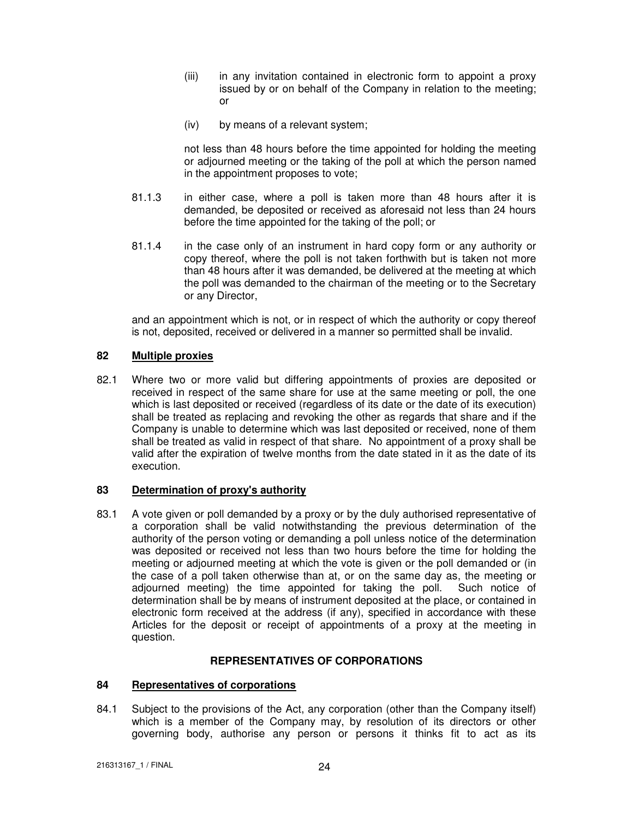- (iii) in any invitation contained in electronic form to appoint a proxy issued by or on behalf of the Company in relation to the meeting; or
- (iv) by means of a relevant system;

not less than 48 hours before the time appointed for holding the meeting or adjourned meeting or the taking of the poll at which the person named in the appointment proposes to vote;

- 81.1.3 in either case, where a poll is taken more than 48 hours after it is demanded, be deposited or received as aforesaid not less than 24 hours before the time appointed for the taking of the poll; or
- 81.1.4 in the case only of an instrument in hard copy form or any authority or copy thereof, where the poll is not taken forthwith but is taken not more than 48 hours after it was demanded, be delivered at the meeting at which the poll was demanded to the chairman of the meeting or to the Secretary or any Director,

and an appointment which is not, or in respect of which the authority or copy thereof is not, deposited, received or delivered in a manner so permitted shall be invalid.

# **82 Multiple proxies**

82.1 Where two or more valid but differing appointments of proxies are deposited or received in respect of the same share for use at the same meeting or poll, the one which is last deposited or received (regardless of its date or the date of its execution) shall be treated as replacing and revoking the other as regards that share and if the Company is unable to determine which was last deposited or received, none of them shall be treated as valid in respect of that share. No appointment of a proxy shall be valid after the expiration of twelve months from the date stated in it as the date of its execution.

# **83 Determination of proxy's authority**

83.1 A vote given or poll demanded by a proxy or by the duly authorised representative of a corporation shall be valid notwithstanding the previous determination of the authority of the person voting or demanding a poll unless notice of the determination was deposited or received not less than two hours before the time for holding the meeting or adjourned meeting at which the vote is given or the poll demanded or (in the case of a poll taken otherwise than at, or on the same day as, the meeting or adjourned meeting) the time appointed for taking the poll. Such notice of determination shall be by means of instrument deposited at the place, or contained in electronic form received at the address (if any), specified in accordance with these Articles for the deposit or receipt of appointments of a proxy at the meeting in question.

# **REPRESENTATIVES OF CORPORATIONS**

# **84 Representatives of corporations**

84.1 Subject to the provisions of the Act, any corporation (other than the Company itself) which is a member of the Company may, by resolution of its directors or other governing body, authorise any person or persons it thinks fit to act as its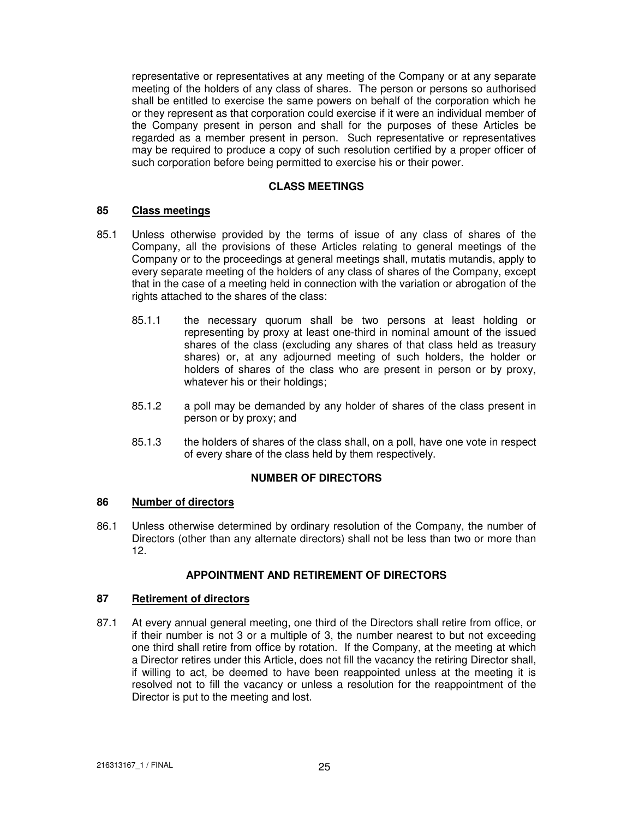representative or representatives at any meeting of the Company or at any separate meeting of the holders of any class of shares. The person or persons so authorised shall be entitled to exercise the same powers on behalf of the corporation which he or they represent as that corporation could exercise if it were an individual member of the Company present in person and shall for the purposes of these Articles be regarded as a member present in person. Such representative or representatives may be required to produce a copy of such resolution certified by a proper officer of such corporation before being permitted to exercise his or their power.

## **CLASS MEETINGS**

## **85 Class meetings**

- 85.1 Unless otherwise provided by the terms of issue of any class of shares of the Company, all the provisions of these Articles relating to general meetings of the Company or to the proceedings at general meetings shall, mutatis mutandis, apply to every separate meeting of the holders of any class of shares of the Company, except that in the case of a meeting held in connection with the variation or abrogation of the rights attached to the shares of the class:
	- 85.1.1 the necessary quorum shall be two persons at least holding or representing by proxy at least one-third in nominal amount of the issued shares of the class (excluding any shares of that class held as treasury shares) or, at any adjourned meeting of such holders, the holder or holders of shares of the class who are present in person or by proxy, whatever his or their holdings;
	- 85.1.2 a poll may be demanded by any holder of shares of the class present in person or by proxy; and
	- 85.1.3 the holders of shares of the class shall, on a poll, have one vote in respect of every share of the class held by them respectively.

# **NUMBER OF DIRECTORS**

#### **86 Number of directors**

86.1 Unless otherwise determined by ordinary resolution of the Company, the number of Directors (other than any alternate directors) shall not be less than two or more than 12.

# **APPOINTMENT AND RETIREMENT OF DIRECTORS**

## **87 Retirement of directors**

87.1 At every annual general meeting, one third of the Directors shall retire from office, or if their number is not 3 or a multiple of 3, the number nearest to but not exceeding one third shall retire from office by rotation. If the Company, at the meeting at which a Director retires under this Article, does not fill the vacancy the retiring Director shall, if willing to act, be deemed to have been reappointed unless at the meeting it is resolved not to fill the vacancy or unless a resolution for the reappointment of the Director is put to the meeting and lost.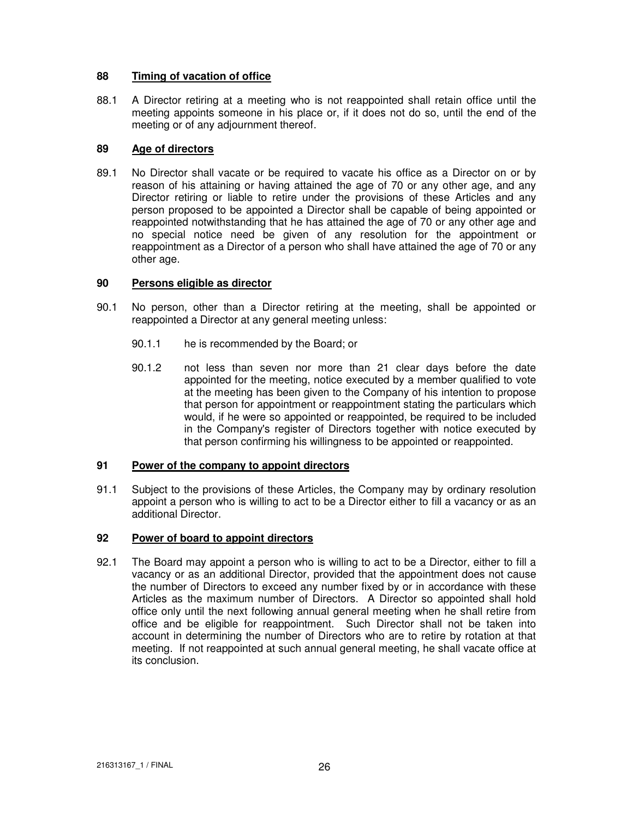# **88 Timing of vacation of office**

88.1 A Director retiring at a meeting who is not reappointed shall retain office until the meeting appoints someone in his place or, if it does not do so, until the end of the meeting or of any adjournment thereof.

# **89 Age of directors**

89.1 No Director shall vacate or be required to vacate his office as a Director on or by reason of his attaining or having attained the age of 70 or any other age, and any Director retiring or liable to retire under the provisions of these Articles and any person proposed to be appointed a Director shall be capable of being appointed or reappointed notwithstanding that he has attained the age of 70 or any other age and no special notice need be given of any resolution for the appointment or reappointment as a Director of a person who shall have attained the age of 70 or any other age.

# **90 Persons eligible as director**

- 90.1 No person, other than a Director retiring at the meeting, shall be appointed or reappointed a Director at any general meeting unless:
	- 90.1.1 he is recommended by the Board; or
	- 90.1.2 not less than seven nor more than 21 clear days before the date appointed for the meeting, notice executed by a member qualified to vote at the meeting has been given to the Company of his intention to propose that person for appointment or reappointment stating the particulars which would, if he were so appointed or reappointed, be required to be included in the Company's register of Directors together with notice executed by that person confirming his willingness to be appointed or reappointed.

# **91 Power of the company to appoint directors**

91.1 Subject to the provisions of these Articles, the Company may by ordinary resolution appoint a person who is willing to act to be a Director either to fill a vacancy or as an additional Director.

# **92 Power of board to appoint directors**

92.1 The Board may appoint a person who is willing to act to be a Director, either to fill a vacancy or as an additional Director, provided that the appointment does not cause the number of Directors to exceed any number fixed by or in accordance with these Articles as the maximum number of Directors. A Director so appointed shall hold office only until the next following annual general meeting when he shall retire from office and be eligible for reappointment. Such Director shall not be taken into account in determining the number of Directors who are to retire by rotation at that meeting. If not reappointed at such annual general meeting, he shall vacate office at its conclusion.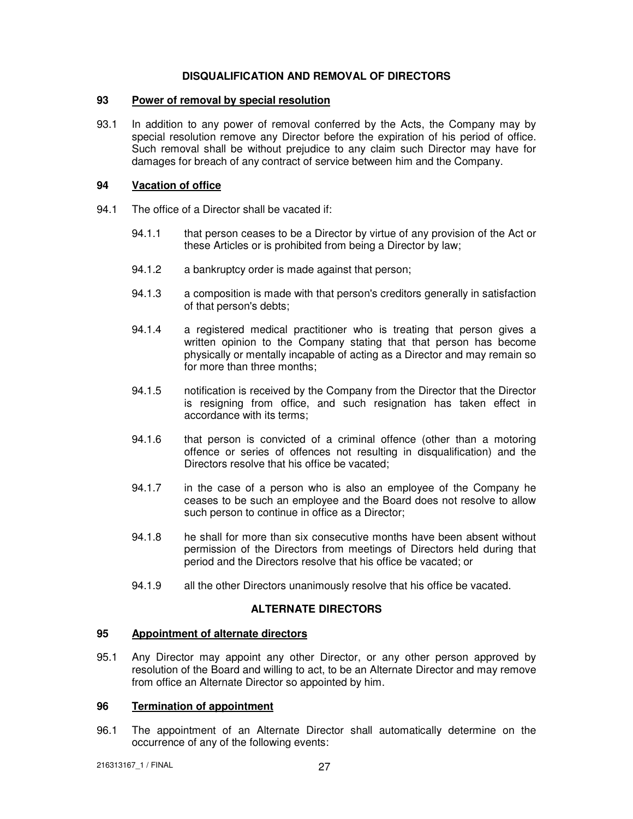## **DISQUALIFICATION AND REMOVAL OF DIRECTORS**

#### **93 Power of removal by special resolution**

93.1 In addition to any power of removal conferred by the Acts, the Company may by special resolution remove any Director before the expiration of his period of office. Such removal shall be without prejudice to any claim such Director may have for damages for breach of any contract of service between him and the Company.

## **94 Vacation of office**

- 94.1 The office of a Director shall be vacated if:
	- 94.1.1 that person ceases to be a Director by virtue of any provision of the Act or these Articles or is prohibited from being a Director by law;
	- 94.1.2 a bankruptcy order is made against that person;
	- 94.1.3 a composition is made with that person's creditors generally in satisfaction of that person's debts;
	- 94.1.4 a registered medical practitioner who is treating that person gives a written opinion to the Company stating that that person has become physically or mentally incapable of acting as a Director and may remain so for more than three months;
	- 94.1.5 notification is received by the Company from the Director that the Director is resigning from office, and such resignation has taken effect in accordance with its terms;
	- 94.1.6 that person is convicted of a criminal offence (other than a motoring offence or series of offences not resulting in disqualification) and the Directors resolve that his office be vacated;
	- 94.1.7 in the case of a person who is also an employee of the Company he ceases to be such an employee and the Board does not resolve to allow such person to continue in office as a Director;
	- 94.1.8 he shall for more than six consecutive months have been absent without permission of the Directors from meetings of Directors held during that period and the Directors resolve that his office be vacated; or
	- 94.1.9 all the other Directors unanimously resolve that his office be vacated.

## **ALTERNATE DIRECTORS**

#### **95 Appointment of alternate directors**

95.1 Any Director may appoint any other Director, or any other person approved by resolution of the Board and willing to act, to be an Alternate Director and may remove from office an Alternate Director so appointed by him.

## **96 Termination of appointment**

96.1 The appointment of an Alternate Director shall automatically determine on the occurrence of any of the following events: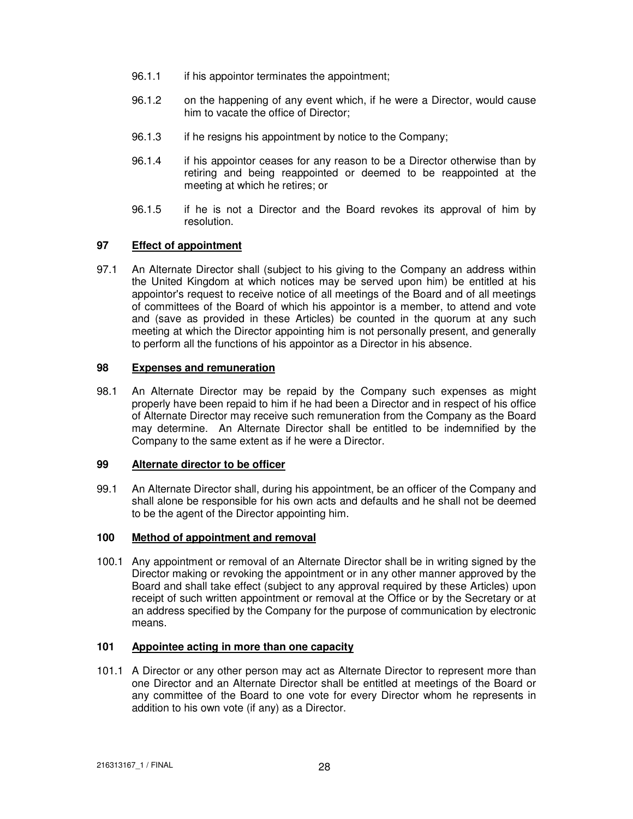- 96.1.1 if his appointor terminates the appointment;
- 96.1.2 on the happening of any event which, if he were a Director, would cause him to vacate the office of Director;
- 96.1.3 if he resigns his appointment by notice to the Company;
- 96.1.4 if his appointor ceases for any reason to be a Director otherwise than by retiring and being reappointed or deemed to be reappointed at the meeting at which he retires; or
- 96.1.5 if he is not a Director and the Board revokes its approval of him by resolution.

# **97 Effect of appointment**

97.1 An Alternate Director shall (subject to his giving to the Company an address within the United Kingdom at which notices may be served upon him) be entitled at his appointor's request to receive notice of all meetings of the Board and of all meetings of committees of the Board of which his appointor is a member, to attend and vote and (save as provided in these Articles) be counted in the quorum at any such meeting at which the Director appointing him is not personally present, and generally to perform all the functions of his appointor as a Director in his absence.

## **98 Expenses and remuneration**

98.1 An Alternate Director may be repaid by the Company such expenses as might properly have been repaid to him if he had been a Director and in respect of his office of Alternate Director may receive such remuneration from the Company as the Board may determine. An Alternate Director shall be entitled to be indemnified by the Company to the same extent as if he were a Director.

#### **99 Alternate director to be officer**

99.1 An Alternate Director shall, during his appointment, be an officer of the Company and shall alone be responsible for his own acts and defaults and he shall not be deemed to be the agent of the Director appointing him.

## **100 Method of appointment and removal**

100.1 Any appointment or removal of an Alternate Director shall be in writing signed by the Director making or revoking the appointment or in any other manner approved by the Board and shall take effect (subject to any approval required by these Articles) upon receipt of such written appointment or removal at the Office or by the Secretary or at an address specified by the Company for the purpose of communication by electronic means.

#### **101 Appointee acting in more than one capacity**

101.1 A Director or any other person may act as Alternate Director to represent more than one Director and an Alternate Director shall be entitled at meetings of the Board or any committee of the Board to one vote for every Director whom he represents in addition to his own vote (if any) as a Director.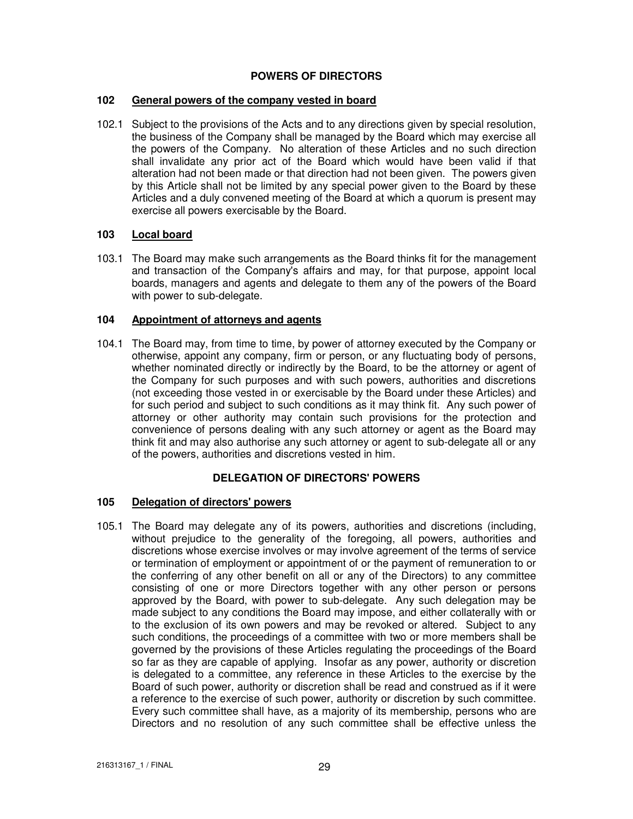# **POWERS OF DIRECTORS**

## **102 General powers of the company vested in board**

102.1 Subject to the provisions of the Acts and to any directions given by special resolution, the business of the Company shall be managed by the Board which may exercise all the powers of the Company. No alteration of these Articles and no such direction shall invalidate any prior act of the Board which would have been valid if that alteration had not been made or that direction had not been given. The powers given by this Article shall not be limited by any special power given to the Board by these Articles and a duly convened meeting of the Board at which a quorum is present may exercise all powers exercisable by the Board.

# **103 Local board**

103.1 The Board may make such arrangements as the Board thinks fit for the management and transaction of the Company's affairs and may, for that purpose, appoint local boards, managers and agents and delegate to them any of the powers of the Board with power to sub-delegate.

## **104 Appointment of attorneys and agents**

104.1 The Board may, from time to time, by power of attorney executed by the Company or otherwise, appoint any company, firm or person, or any fluctuating body of persons, whether nominated directly or indirectly by the Board, to be the attorney or agent of the Company for such purposes and with such powers, authorities and discretions (not exceeding those vested in or exercisable by the Board under these Articles) and for such period and subject to such conditions as it may think fit. Any such power of attorney or other authority may contain such provisions for the protection and convenience of persons dealing with any such attorney or agent as the Board may think fit and may also authorise any such attorney or agent to sub-delegate all or any of the powers, authorities and discretions vested in him.

# **DELEGATION OF DIRECTORS' POWERS**

# **105 Delegation of directors' powers**

105.1 The Board may delegate any of its powers, authorities and discretions (including, without prejudice to the generality of the foregoing, all powers, authorities and discretions whose exercise involves or may involve agreement of the terms of service or termination of employment or appointment of or the payment of remuneration to or the conferring of any other benefit on all or any of the Directors) to any committee consisting of one or more Directors together with any other person or persons approved by the Board, with power to sub-delegate. Any such delegation may be made subject to any conditions the Board may impose, and either collaterally with or to the exclusion of its own powers and may be revoked or altered. Subject to any such conditions, the proceedings of a committee with two or more members shall be governed by the provisions of these Articles regulating the proceedings of the Board so far as they are capable of applying. Insofar as any power, authority or discretion is delegated to a committee, any reference in these Articles to the exercise by the Board of such power, authority or discretion shall be read and construed as if it were a reference to the exercise of such power, authority or discretion by such committee. Every such committee shall have, as a majority of its membership, persons who are Directors and no resolution of any such committee shall be effective unless the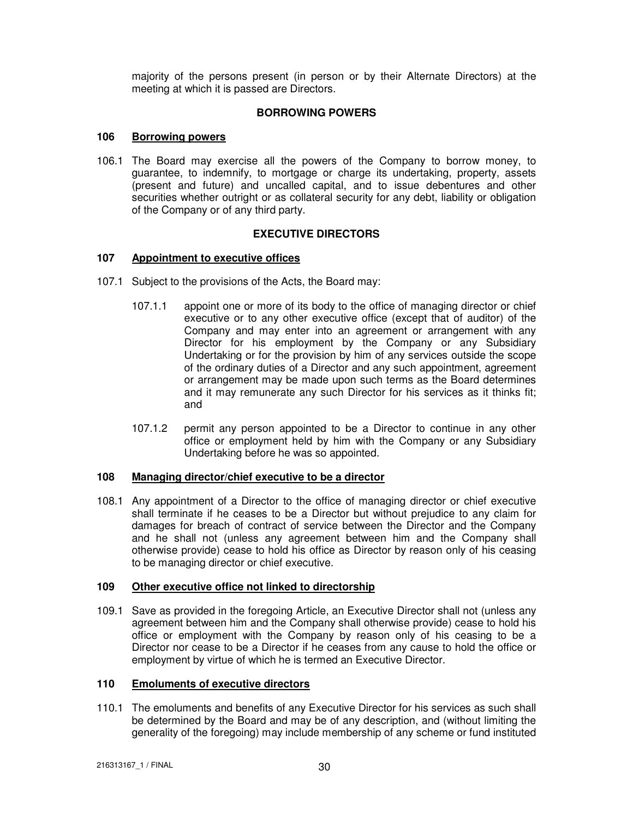majority of the persons present (in person or by their Alternate Directors) at the meeting at which it is passed are Directors.

## **BORROWING POWERS**

## **106 Borrowing powers**

106.1 The Board may exercise all the powers of the Company to borrow money, to guarantee, to indemnify, to mortgage or charge its undertaking, property, assets (present and future) and uncalled capital, and to issue debentures and other securities whether outright or as collateral security for any debt, liability or obligation of the Company or of any third party.

# **EXECUTIVE DIRECTORS**

## **107 Appointment to executive offices**

- 107.1 Subject to the provisions of the Acts, the Board may:
	- 107.1.1 appoint one or more of its body to the office of managing director or chief executive or to any other executive office (except that of auditor) of the Company and may enter into an agreement or arrangement with any Director for his employment by the Company or any Subsidiary Undertaking or for the provision by him of any services outside the scope of the ordinary duties of a Director and any such appointment, agreement or arrangement may be made upon such terms as the Board determines and it may remunerate any such Director for his services as it thinks fit; and
	- 107.1.2 permit any person appointed to be a Director to continue in any other office or employment held by him with the Company or any Subsidiary Undertaking before he was so appointed.

## **108 Managing director/chief executive to be a director**

108.1 Any appointment of a Director to the office of managing director or chief executive shall terminate if he ceases to be a Director but without prejudice to any claim for damages for breach of contract of service between the Director and the Company and he shall not (unless any agreement between him and the Company shall otherwise provide) cease to hold his office as Director by reason only of his ceasing to be managing director or chief executive.

#### **109 Other executive office not linked to directorship**

109.1 Save as provided in the foregoing Article, an Executive Director shall not (unless any agreement between him and the Company shall otherwise provide) cease to hold his office or employment with the Company by reason only of his ceasing to be a Director nor cease to be a Director if he ceases from any cause to hold the office or employment by virtue of which he is termed an Executive Director.

# **110 Emoluments of executive directors**

110.1 The emoluments and benefits of any Executive Director for his services as such shall be determined by the Board and may be of any description, and (without limiting the generality of the foregoing) may include membership of any scheme or fund instituted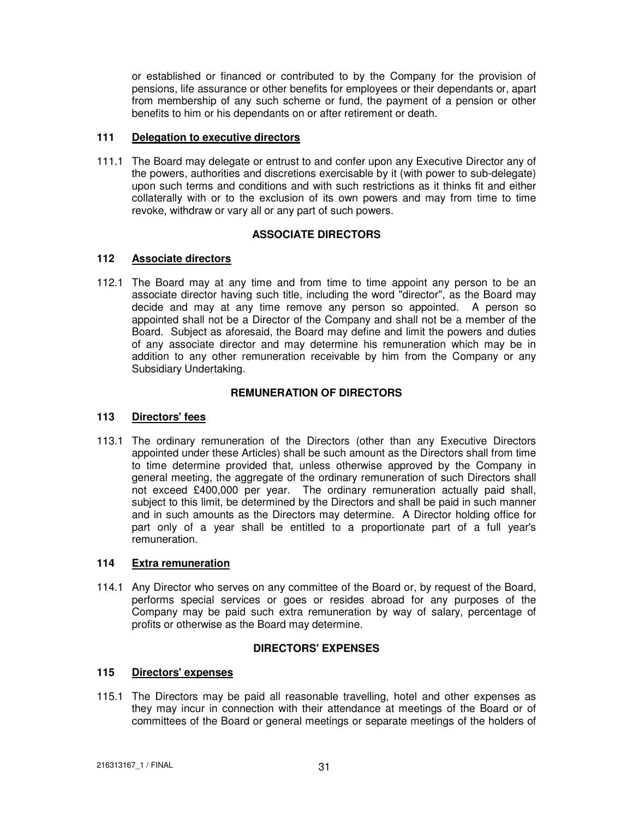or established or financed or contributed to by the Company for the provision of pensions, life assurance or other benefits for employees or their dependants or, apart from membership of any such scheme or fund, the payment of a pension or other benefits to him or his dependants on or after retirement or death.

## **111 Delegation to executive directors**

111.1 The Board may delegate or entrust to and confer upon any Executive Director any of the powers, authorities and discretions exercisable by it (with power to sub-delegate) upon such terms and conditions and with such restrictions as it thinks fit and either collaterally with or to the exclusion of its own powers and may from time to time revoke, withdraw or vary all or any part of such powers.

# **ASSOCIATE DIRECTORS**

# **112 Associate directors**

112.1 The Board may at any time and from time to time appoint any person to be an associate director having such title, including the word "director", as the Board may decide and may at any time remove any person so appointed. A person so appointed shall not be a Director of the Company and shall not be a member of the Board. Subject as aforesaid, the Board may define and limit the powers and duties of any associate director and may determine his remuneration which may be in addition to any other remuneration receivable by him from the Company or any Subsidiary Undertaking.

# **REMUNERATION OF DIRECTORS**

#### **113 Directors' fees**

113.1 The ordinary remuneration of the Directors (other than any Executive Directors appointed under these Articles) shall be such amount as the Directors shall from time to time determine provided that, unless otherwise approved by the Company in general meeting, the aggregate of the ordinary remuneration of such Directors shall not exceed £400,000 per year. The ordinary remuneration actually paid shall, subiect to this limit, be determined by the Directors and shall be paid in such manner and in such amounts as the Directors may determine. A Director holding office for part only of a year shall be entitled to a proportionate part of a full year's remuneration.

## **114 Extra remuneration**

114.1 Any Director who serves on any committee of the Board or, by request of the Board, performs special services or goes or resides abroad for any purposes of the Company may be paid such extra remuneration by way of salary, percentage of profits or otherwise as the Board may determine.

# **DIRECTORS' EXPENSES**

# **115 Directors' expenses**

115.1 The Directors may be paid all reasonable travelling, hotel and other expenses as they may incur in connection with their attendance at meetings of the Board or of committees of the Board or general meetings or separate meetings of the holders of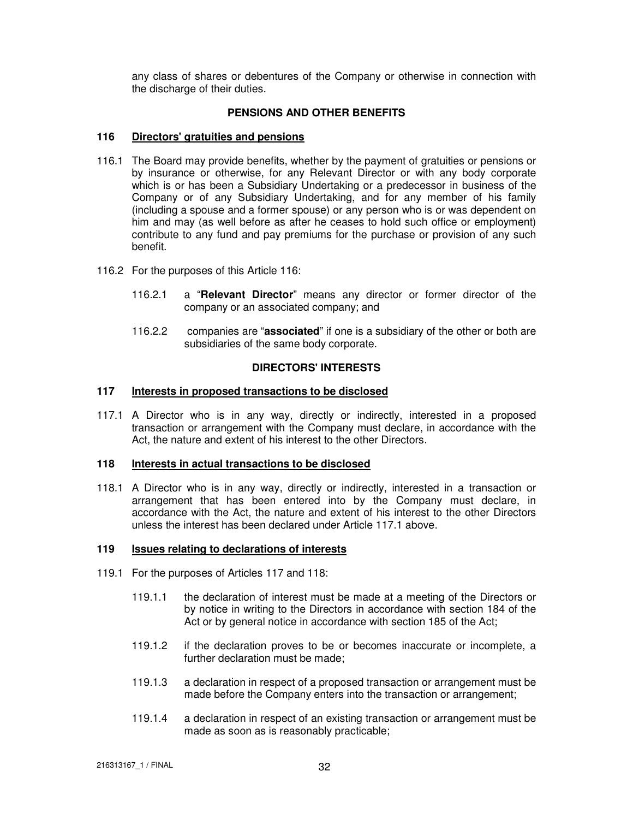any class of shares or debentures of the Company or otherwise in connection with the discharge of their duties.

## **PENSIONS AND OTHER BENEFITS**

## **116 Directors' gratuities and pensions**

- 116.1 The Board may provide benefits, whether by the payment of gratuities or pensions or by insurance or otherwise, for any Relevant Director or with any body corporate which is or has been a Subsidiary Undertaking or a predecessor in business of the Company or of any Subsidiary Undertaking, and for any member of his family (including a spouse and a former spouse) or any person who is or was dependent on him and may (as well before as after he ceases to hold such office or employment) contribute to any fund and pay premiums for the purchase or provision of any such benefit.
- 116.2 For the purposes of this Article 116:
	- 116.2.1 a "**Relevant Director**" means any director or former director of the company or an associated company; and
	- 116.2.2 companies are "**associated**" if one is a subsidiary of the other or both are subsidiaries of the same body corporate.

## **DIRECTORS' INTERESTS**

#### **117 Interests in proposed transactions to be disclosed**

117.1 A Director who is in any way, directly or indirectly, interested in a proposed transaction or arrangement with the Company must declare, in accordance with the Act, the nature and extent of his interest to the other Directors.

#### **118 Interests in actual transactions to be disclosed**

118.1 A Director who is in any way, directly or indirectly, interested in a transaction or arrangement that has been entered into by the Company must declare, in accordance with the Act, the nature and extent of his interest to the other Directors unless the interest has been declared under Article 117.1 above.

#### **119 Issues relating to declarations of interests**

- 119.1 For the purposes of Articles 117 and 118:
	- 119.1.1 the declaration of interest must be made at a meeting of the Directors or by notice in writing to the Directors in accordance with section 184 of the Act or by general notice in accordance with section 185 of the Act;
	- 119.1.2 if the declaration proves to be or becomes inaccurate or incomplete, a further declaration must be made;
	- 119.1.3 a declaration in respect of a proposed transaction or arrangement must be made before the Company enters into the transaction or arrangement;
	- 119.1.4 a declaration in respect of an existing transaction or arrangement must be made as soon as is reasonably practicable;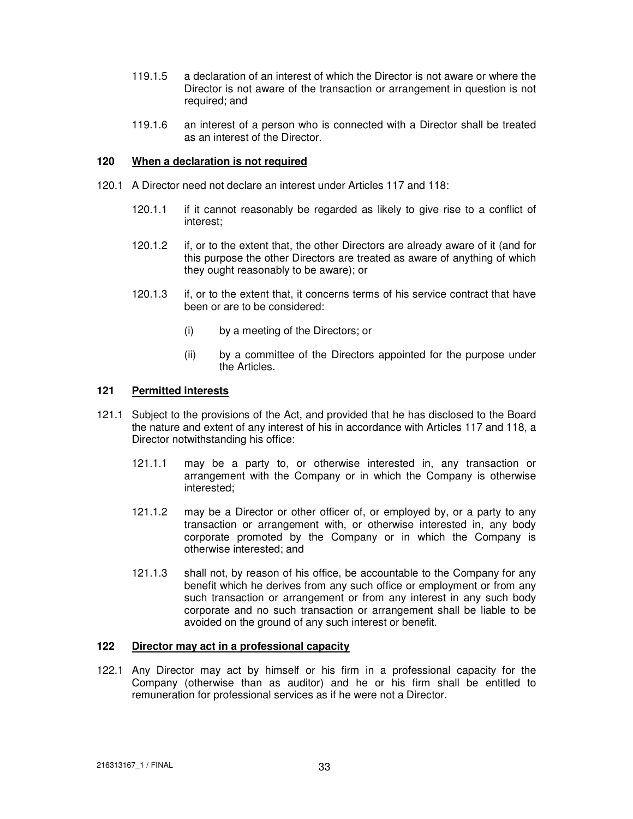- 119.1.5 a declaration of an interest of which the Director is not aware or where the Director is not aware of the transaction or arrangement in question is not required; and
- 119.1.6 an interest of a person who is connected with a Director shall be treated as an interest of the Director.

## **120 When a declaration is not required**

- 120.1 A Director need not declare an interest under Articles 117 and 118:
	- 120.1.1 if it cannot reasonably be regarded as likely to give rise to a conflict of interest;
	- 120.1.2 if, or to the extent that, the other Directors are already aware of it (and for this purpose the other Directors are treated as aware of anything of which they ought reasonably to be aware); or
	- 120.1.3 if, or to the extent that, it concerns terms of his service contract that have been or are to be considered:
		- (i) by a meeting of the Directors; or
		- (ii) by a committee of the Directors appointed for the purpose under the Articles.

#### **121 Permitted interests**

- 121.1 Subject to the provisions of the Act, and provided that he has disclosed to the Board the nature and extent of any interest of his in accordance with Articles 117 and 118, a Director notwithstanding his office:
	- 121.1.1 may be a party to, or otherwise interested in, any transaction or arrangement with the Company or in which the Company is otherwise interested;
	- 121.1.2 may be a Director or other officer of, or employed by, or a party to any transaction or arrangement with, or otherwise interested in, any body corporate promoted by the Company or in which the Company is otherwise interested; and
	- 121.1.3 shall not, by reason of his office, be accountable to the Company for any benefit which he derives from any such office or employment or from any such transaction or arrangement or from any interest in any such body corporate and no such transaction or arrangement shall be liable to be avoided on the ground of any such interest or benefit.

## **122 Director may act in a professional capacity**

122.1 Any Director may act by himself or his firm in a professional capacity for the Company (otherwise than as auditor) and he or his firm shall be entitled to remuneration for professional services as if he were not a Director.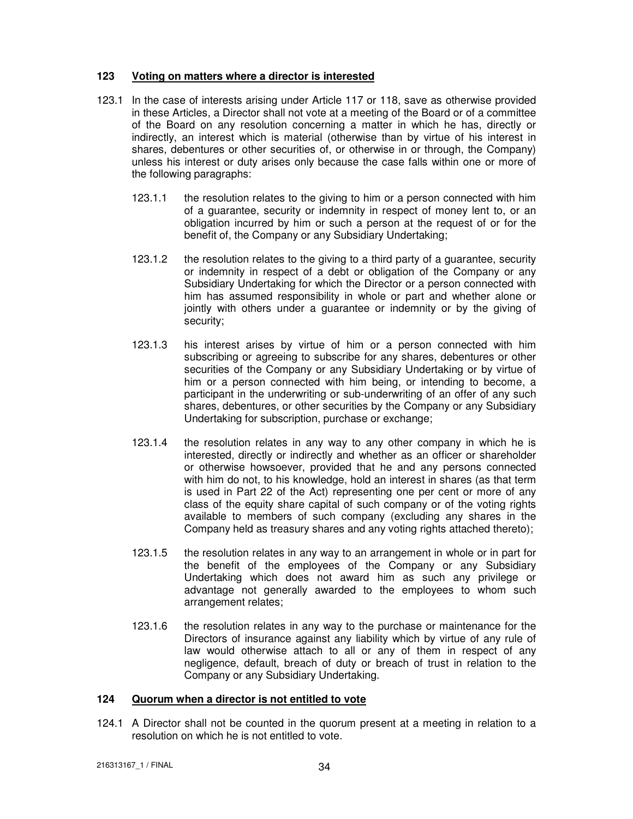## **123 Voting on matters where a director is interested**

- 123.1 In the case of interests arising under Article 117 or 118, save as otherwise provided in these Articles, a Director shall not vote at a meeting of the Board or of a committee of the Board on any resolution concerning a matter in which he has, directly or indirectly, an interest which is material (otherwise than by virtue of his interest in shares, debentures or other securities of, or otherwise in or through, the Company) unless his interest or duty arises only because the case falls within one or more of the following paragraphs:
	- 123.1.1 the resolution relates to the giving to him or a person connected with him of a guarantee, security or indemnity in respect of money lent to, or an obligation incurred by him or such a person at the request of or for the benefit of, the Company or any Subsidiary Undertaking;
	- 123.1.2 the resolution relates to the giving to a third party of a guarantee, security or indemnity in respect of a debt or obligation of the Company or any Subsidiary Undertaking for which the Director or a person connected with him has assumed responsibility in whole or part and whether alone or jointly with others under a guarantee or indemnity or by the giving of security;
	- 123.1.3 his interest arises by virtue of him or a person connected with him subscribing or agreeing to subscribe for any shares, debentures or other securities of the Company or any Subsidiary Undertaking or by virtue of him or a person connected with him being, or intending to become, a participant in the underwriting or sub-underwriting of an offer of any such shares, debentures, or other securities by the Company or any Subsidiary Undertaking for subscription, purchase or exchange;
	- 123.1.4 the resolution relates in any way to any other company in which he is interested, directly or indirectly and whether as an officer or shareholder or otherwise howsoever, provided that he and any persons connected with him do not, to his knowledge, hold an interest in shares (as that term is used in Part 22 of the Act) representing one per cent or more of any class of the equity share capital of such company or of the voting rights available to members of such company (excluding any shares in the Company held as treasury shares and any voting rights attached thereto);
	- 123.1.5 the resolution relates in any way to an arrangement in whole or in part for the benefit of the employees of the Company or any Subsidiary Undertaking which does not award him as such any privilege or advantage not generally awarded to the employees to whom such arrangement relates;
	- 123.1.6 the resolution relates in any way to the purchase or maintenance for the Directors of insurance against any liability which by virtue of any rule of law would otherwise attach to all or any of them in respect of any negligence, default, breach of duty or breach of trust in relation to the Company or any Subsidiary Undertaking.

## **124 Quorum when a director is not entitled to vote**

124.1 A Director shall not be counted in the quorum present at a meeting in relation to a resolution on which he is not entitled to vote.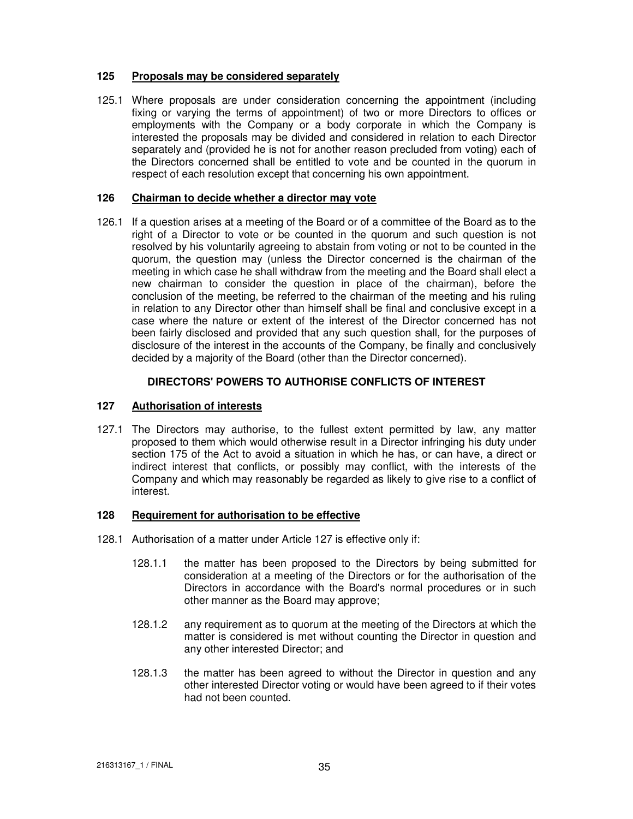## **125 Proposals may be considered separately**

125.1 Where proposals are under consideration concerning the appointment (including fixing or varying the terms of appointment) of two or more Directors to offices or employments with the Company or a body corporate in which the Company is interested the proposals may be divided and considered in relation to each Director separately and (provided he is not for another reason precluded from voting) each of the Directors concerned shall be entitled to vote and be counted in the quorum in respect of each resolution except that concerning his own appointment.

## **126 Chairman to decide whether a director may vote**

126.1 If a question arises at a meeting of the Board or of a committee of the Board as to the right of a Director to vote or be counted in the quorum and such question is not resolved by his voluntarily agreeing to abstain from voting or not to be counted in the quorum, the question may (unless the Director concerned is the chairman of the meeting in which case he shall withdraw from the meeting and the Board shall elect a new chairman to consider the question in place of the chairman), before the conclusion of the meeting, be referred to the chairman of the meeting and his ruling in relation to any Director other than himself shall be final and conclusive except in a case where the nature or extent of the interest of the Director concerned has not been fairly disclosed and provided that any such question shall, for the purposes of disclosure of the interest in the accounts of the Company, be finally and conclusively decided by a majority of the Board (other than the Director concerned).

# **DIRECTORS' POWERS TO AUTHORISE CONFLICTS OF INTEREST**

# **127 Authorisation of interests**

127.1 The Directors may authorise, to the fullest extent permitted by law, any matter proposed to them which would otherwise result in a Director infringing his duty under section 175 of the Act to avoid a situation in which he has, or can have, a direct or indirect interest that conflicts, or possibly may conflict, with the interests of the Company and which may reasonably be regarded as likely to give rise to a conflict of interest.

#### **128 Requirement for authorisation to be effective**

- 128.1 Authorisation of a matter under Article 127 is effective only if:
	- 128.1.1 the matter has been proposed to the Directors by being submitted for consideration at a meeting of the Directors or for the authorisation of the Directors in accordance with the Board's normal procedures or in such other manner as the Board may approve;
	- 128.1.2 any requirement as to quorum at the meeting of the Directors at which the matter is considered is met without counting the Director in question and any other interested Director; and
	- 128.1.3 the matter has been agreed to without the Director in question and any other interested Director voting or would have been agreed to if their votes had not been counted.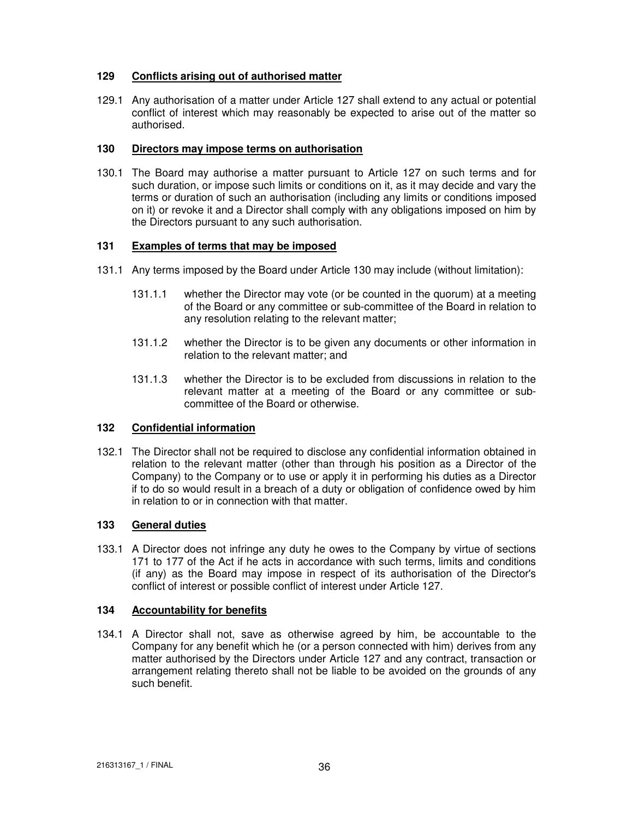# **129 Conflicts arising out of authorised matter**

129.1 Any authorisation of a matter under Article 127 shall extend to any actual or potential conflict of interest which may reasonably be expected to arise out of the matter so authorised.

## **130 Directors may impose terms on authorisation**

130.1 The Board may authorise a matter pursuant to Article 127 on such terms and for such duration, or impose such limits or conditions on it, as it may decide and vary the terms or duration of such an authorisation (including any limits or conditions imposed on it) or revoke it and a Director shall comply with any obligations imposed on him by the Directors pursuant to any such authorisation.

# **131 Examples of terms that may be imposed**

- 131.1 Any terms imposed by the Board under Article 130 may include (without limitation):
	- 131.1.1 whether the Director may vote (or be counted in the quorum) at a meeting of the Board or any committee or sub-committee of the Board in relation to any resolution relating to the relevant matter;
	- 131.1.2 whether the Director is to be given any documents or other information in relation to the relevant matter; and
	- 131.1.3 whether the Director is to be excluded from discussions in relation to the relevant matter at a meeting of the Board or any committee or subcommittee of the Board or otherwise.

# **132 Confidential information**

132.1 The Director shall not be required to disclose any confidential information obtained in relation to the relevant matter (other than through his position as a Director of the Company) to the Company or to use or apply it in performing his duties as a Director if to do so would result in a breach of a duty or obligation of confidence owed by him in relation to or in connection with that matter.

## **133 General duties**

133.1 A Director does not infringe any duty he owes to the Company by virtue of sections 171 to 177 of the Act if he acts in accordance with such terms, limits and conditions (if any) as the Board may impose in respect of its authorisation of the Director's conflict of interest or possible conflict of interest under Article 127.

# **134 Accountability for benefits**

134.1 A Director shall not, save as otherwise agreed by him, be accountable to the Company for any benefit which he (or a person connected with him) derives from any matter authorised by the Directors under Article 127 and any contract, transaction or arrangement relating thereto shall not be liable to be avoided on the grounds of any such benefit.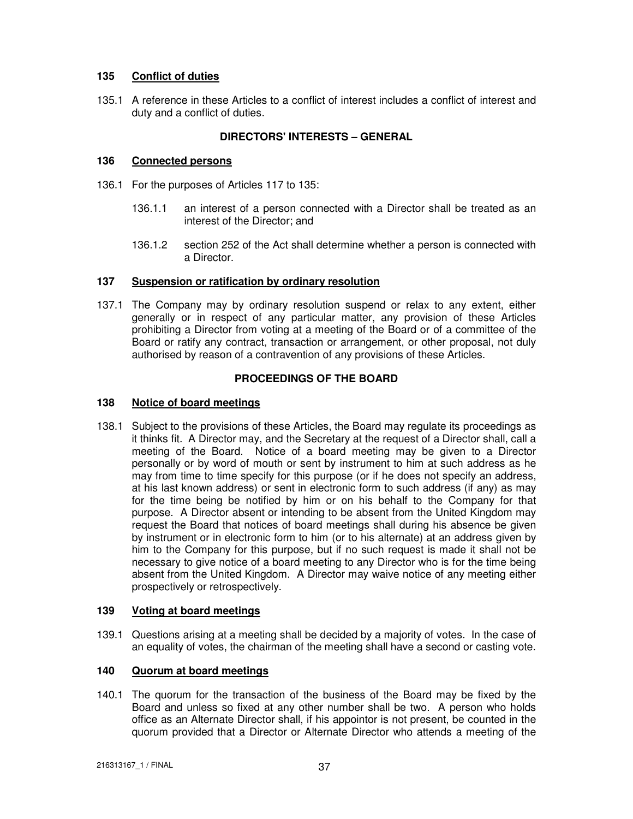# **135 Conflict of duties**

135.1 A reference in these Articles to a conflict of interest includes a conflict of interest and duty and a conflict of duties.

# **DIRECTORS' INTERESTS – GENERAL**

## **136 Connected persons**

- 136.1 For the purposes of Articles 117 to 135:
	- 136.1.1 an interest of a person connected with a Director shall be treated as an interest of the Director; and
	- 136.1.2 section 252 of the Act shall determine whether a person is connected with a Director.

## **137 Suspension or ratification by ordinary resolution**

137.1 The Company may by ordinary resolution suspend or relax to any extent, either generally or in respect of any particular matter, any provision of these Articles prohibiting a Director from voting at a meeting of the Board or of a committee of the Board or ratify any contract, transaction or arrangement, or other proposal, not duly authorised by reason of a contravention of any provisions of these Articles.

# **PROCEEDINGS OF THE BOARD**

## **138 Notice of board meetings**

138.1 Subject to the provisions of these Articles, the Board may regulate its proceedings as it thinks fit. A Director may, and the Secretary at the request of a Director shall, call a meeting of the Board. Notice of a board meeting may be given to a Director personally or by word of mouth or sent by instrument to him at such address as he may from time to time specify for this purpose (or if he does not specify an address, at his last known address) or sent in electronic form to such address (if any) as may for the time being be notified by him or on his behalf to the Company for that purpose. A Director absent or intending to be absent from the United Kingdom may request the Board that notices of board meetings shall during his absence be given by instrument or in electronic form to him (or to his alternate) at an address given by him to the Company for this purpose, but if no such request is made it shall not be necessary to give notice of a board meeting to any Director who is for the time being absent from the United Kingdom. A Director may waive notice of any meeting either prospectively or retrospectively.

# **139 Voting at board meetings**

139.1 Questions arising at a meeting shall be decided by a majority of votes. In the case of an equality of votes, the chairman of the meeting shall have a second or casting vote.

# **140 Quorum at board meetings**

140.1 The quorum for the transaction of the business of the Board may be fixed by the Board and unless so fixed at any other number shall be two. A person who holds office as an Alternate Director shall, if his appointor is not present, be counted in the quorum provided that a Director or Alternate Director who attends a meeting of the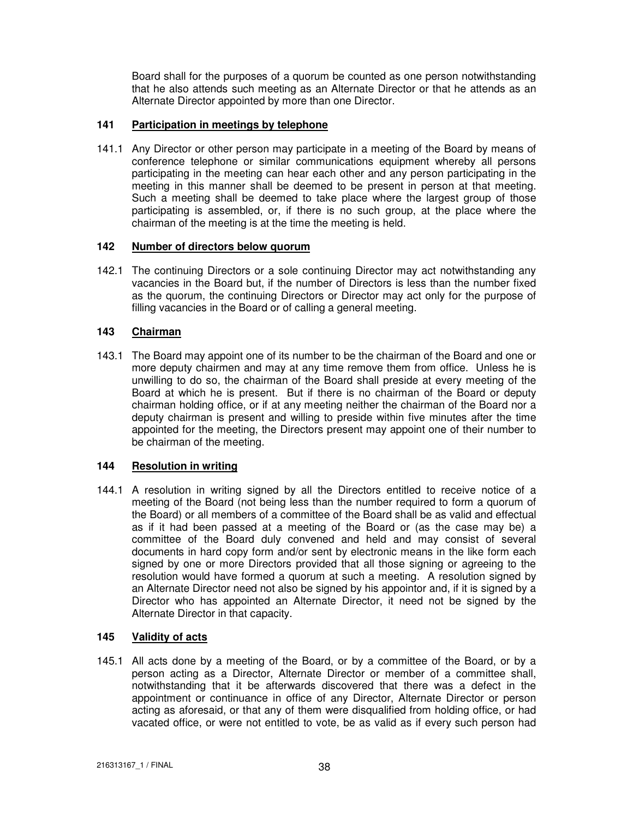Board shall for the purposes of a quorum be counted as one person notwithstanding that he also attends such meeting as an Alternate Director or that he attends as an Alternate Director appointed by more than one Director.

# **141 Participation in meetings by telephone**

141.1 Any Director or other person may participate in a meeting of the Board by means of conference telephone or similar communications equipment whereby all persons participating in the meeting can hear each other and any person participating in the meeting in this manner shall be deemed to be present in person at that meeting. Such a meeting shall be deemed to take place where the largest group of those participating is assembled, or, if there is no such group, at the place where the chairman of the meeting is at the time the meeting is held.

# **142 Number of directors below quorum**

142.1 The continuing Directors or a sole continuing Director may act notwithstanding any vacancies in the Board but, if the number of Directors is less than the number fixed as the quorum, the continuing Directors or Director may act only for the purpose of filling vacancies in the Board or of calling a general meeting.

# **143 Chairman**

143.1 The Board may appoint one of its number to be the chairman of the Board and one or more deputy chairmen and may at any time remove them from office. Unless he is unwilling to do so, the chairman of the Board shall preside at every meeting of the Board at which he is present. But if there is no chairman of the Board or deputy chairman holding office, or if at any meeting neither the chairman of the Board nor a deputy chairman is present and willing to preside within five minutes after the time appointed for the meeting, the Directors present may appoint one of their number to be chairman of the meeting.

# **144 Resolution in writing**

144.1 A resolution in writing signed by all the Directors entitled to receive notice of a meeting of the Board (not being less than the number required to form a quorum of the Board) or all members of a committee of the Board shall be as valid and effectual as if it had been passed at a meeting of the Board or (as the case may be) a committee of the Board duly convened and held and may consist of several documents in hard copy form and/or sent by electronic means in the like form each signed by one or more Directors provided that all those signing or agreeing to the resolution would have formed a quorum at such a meeting. A resolution signed by an Alternate Director need not also be signed by his appointor and, if it is signed by a Director who has appointed an Alternate Director, it need not be signed by the Alternate Director in that capacity.

# **145 Validity of acts**

145.1 All acts done by a meeting of the Board, or by a committee of the Board, or by a person acting as a Director, Alternate Director or member of a committee shall, notwithstanding that it be afterwards discovered that there was a defect in the appointment or continuance in office of any Director, Alternate Director or person acting as aforesaid, or that any of them were disqualified from holding office, or had vacated office, or were not entitled to vote, be as valid as if every such person had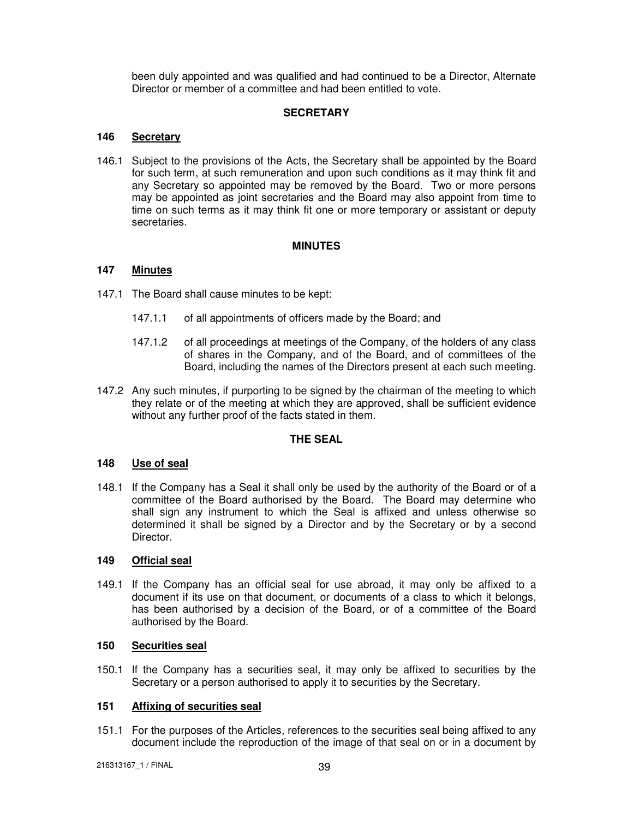been duly appointed and was qualified and had continued to be a Director, Alternate Director or member of a committee and had been entitled to vote.

## **SECRETARY**

## **146 Secretary**

146.1 Subject to the provisions of the Acts, the Secretary shall be appointed by the Board for such term, at such remuneration and upon such conditions as it may think fit and any Secretary so appointed may be removed by the Board. Two or more persons may be appointed as joint secretaries and the Board may also appoint from time to time on such terms as it may think fit one or more temporary or assistant or deputy secretaries.

#### **MINUTES**

# **147 Minutes**

- 147.1 The Board shall cause minutes to be kept:
	- 147.1.1 of all appointments of officers made by the Board; and
	- 147.1.2 of all proceedings at meetings of the Company, of the holders of any class of shares in the Company, and of the Board, and of committees of the Board, including the names of the Directors present at each such meeting.
- 147.2 Any such minutes, if purporting to be signed by the chairman of the meeting to which they relate or of the meeting at which they are approved, shall be sufficient evidence without any further proof of the facts stated in them.

#### **THE SEAL**

#### **148 Use of seal**

148.1 If the Company has a Seal it shall only be used by the authority of the Board or of a committee of the Board authorised by the Board. The Board may determine who shall sign any instrument to which the Seal is affixed and unless otherwise so determined it shall be signed by a Director and by the Secretary or by a second Director.

#### **149 Official seal**

149.1 If the Company has an official seal for use abroad, it may only be affixed to a document if its use on that document, or documents of a class to which it belongs, has been authorised by a decision of the Board, or of a committee of the Board authorised by the Board.

#### **150 Securities seal**

150.1 If the Company has a securities seal, it may only be affixed to securities by the Secretary or a person authorised to apply it to securities by the Secretary.

## **151 Affixing of securities seal**

151.1 For the purposes of the Articles, references to the securities seal being affixed to any document include the reproduction of the image of that seal on or in a document by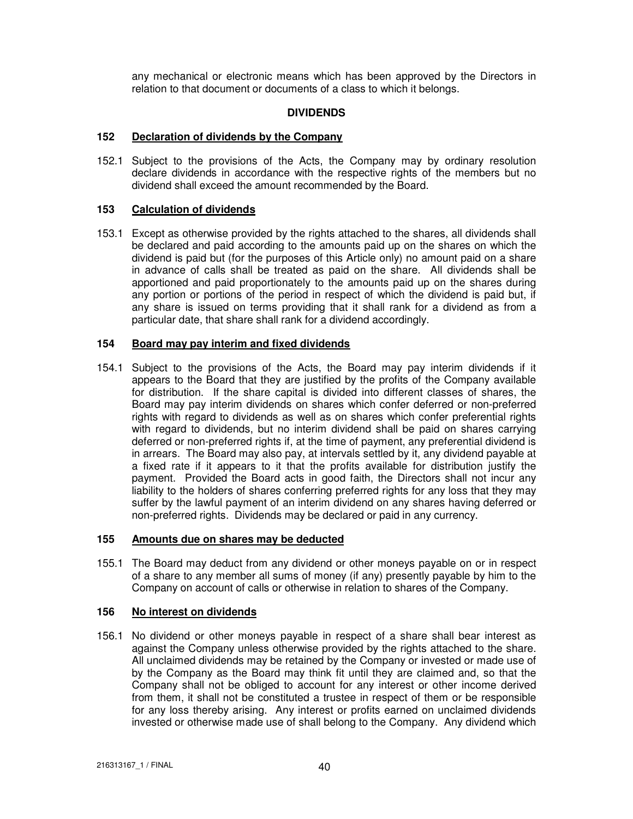any mechanical or electronic means which has been approved by the Directors in relation to that document or documents of a class to which it belongs.

## **DIVIDENDS**

## **152 Declaration of dividends by the Company**

152.1 Subject to the provisions of the Acts, the Company may by ordinary resolution declare dividends in accordance with the respective rights of the members but no dividend shall exceed the amount recommended by the Board.

## **153 Calculation of dividends**

153.1 Except as otherwise provided by the rights attached to the shares, all dividends shall be declared and paid according to the amounts paid up on the shares on which the dividend is paid but (for the purposes of this Article only) no amount paid on a share in advance of calls shall be treated as paid on the share. All dividends shall be apportioned and paid proportionately to the amounts paid up on the shares during any portion or portions of the period in respect of which the dividend is paid but, if any share is issued on terms providing that it shall rank for a dividend as from a particular date, that share shall rank for a dividend accordingly.

# **154 Board may pay interim and fixed dividends**

154.1 Subject to the provisions of the Acts, the Board may pay interim dividends if it appears to the Board that they are justified by the profits of the Company available for distribution. If the share capital is divided into different classes of shares, the Board may pay interim dividends on shares which confer deferred or non-preferred rights with regard to dividends as well as on shares which confer preferential rights with regard to dividends, but no interim dividend shall be paid on shares carrying deferred or non-preferred rights if, at the time of payment, any preferential dividend is in arrears. The Board may also pay, at intervals settled by it, any dividend payable at a fixed rate if it appears to it that the profits available for distribution justify the payment. Provided the Board acts in good faith, the Directors shall not incur any liability to the holders of shares conferring preferred rights for any loss that they may suffer by the lawful payment of an interim dividend on any shares having deferred or non-preferred rights. Dividends may be declared or paid in any currency.

#### **155 Amounts due on shares may be deducted**

155.1 The Board may deduct from any dividend or other moneys payable on or in respect of a share to any member all sums of money (if any) presently payable by him to the Company on account of calls or otherwise in relation to shares of the Company.

#### **156 No interest on dividends**

156.1 No dividend or other moneys payable in respect of a share shall bear interest as against the Company unless otherwise provided by the rights attached to the share. All unclaimed dividends may be retained by the Company or invested or made use of by the Company as the Board may think fit until they are claimed and, so that the Company shall not be obliged to account for any interest or other income derived from them, it shall not be constituted a trustee in respect of them or be responsible for any loss thereby arising. Any interest or profits earned on unclaimed dividends invested or otherwise made use of shall belong to the Company. Any dividend which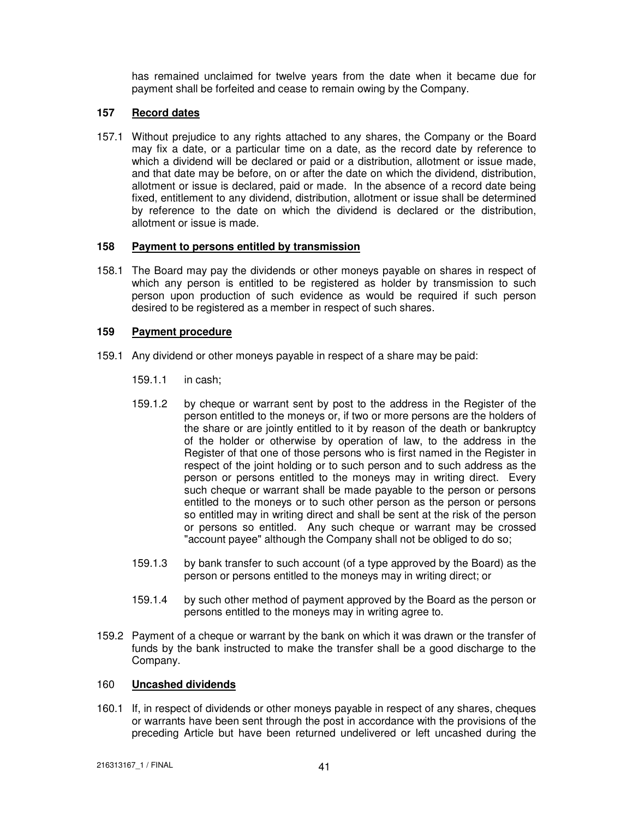has remained unclaimed for twelve years from the date when it became due for payment shall be forfeited and cease to remain owing by the Company.

## **157 Record dates**

157.1 Without prejudice to any rights attached to any shares, the Company or the Board may fix a date, or a particular time on a date, as the record date by reference to which a dividend will be declared or paid or a distribution, allotment or issue made, and that date may be before, on or after the date on which the dividend, distribution, allotment or issue is declared, paid or made. In the absence of a record date being fixed, entitlement to any dividend, distribution, allotment or issue shall be determined by reference to the date on which the dividend is declared or the distribution, allotment or issue is made.

## **158 Payment to persons entitled by transmission**

158.1 The Board may pay the dividends or other moneys payable on shares in respect of which any person is entitled to be registered as holder by transmission to such person upon production of such evidence as would be required if such person desired to be registered as a member in respect of such shares.

## **159 Payment procedure**

- 159.1 Any dividend or other moneys payable in respect of a share may be paid:
	- 159.1.1 in cash;
	- 159.1.2 by cheque or warrant sent by post to the address in the Register of the person entitled to the moneys or, if two or more persons are the holders of the share or are jointly entitled to it by reason of the death or bankruptcy of the holder or otherwise by operation of law, to the address in the Register of that one of those persons who is first named in the Register in respect of the joint holding or to such person and to such address as the person or persons entitled to the moneys may in writing direct. Every such cheque or warrant shall be made payable to the person or persons entitled to the moneys or to such other person as the person or persons so entitled may in writing direct and shall be sent at the risk of the person or persons so entitled. Any such cheque or warrant may be crossed "account payee" although the Company shall not be obliged to do so;
	- 159.1.3 by bank transfer to such account (of a type approved by the Board) as the person or persons entitled to the moneys may in writing direct; or
	- 159.1.4 by such other method of payment approved by the Board as the person or persons entitled to the moneys may in writing agree to.
- 159.2 Payment of a cheque or warrant by the bank on which it was drawn or the transfer of funds by the bank instructed to make the transfer shall be a good discharge to the Company.

## 160 **Uncashed dividends**

160.1 If, in respect of dividends or other moneys payable in respect of any shares, cheques or warrants have been sent through the post in accordance with the provisions of the preceding Article but have been returned undelivered or left uncashed during the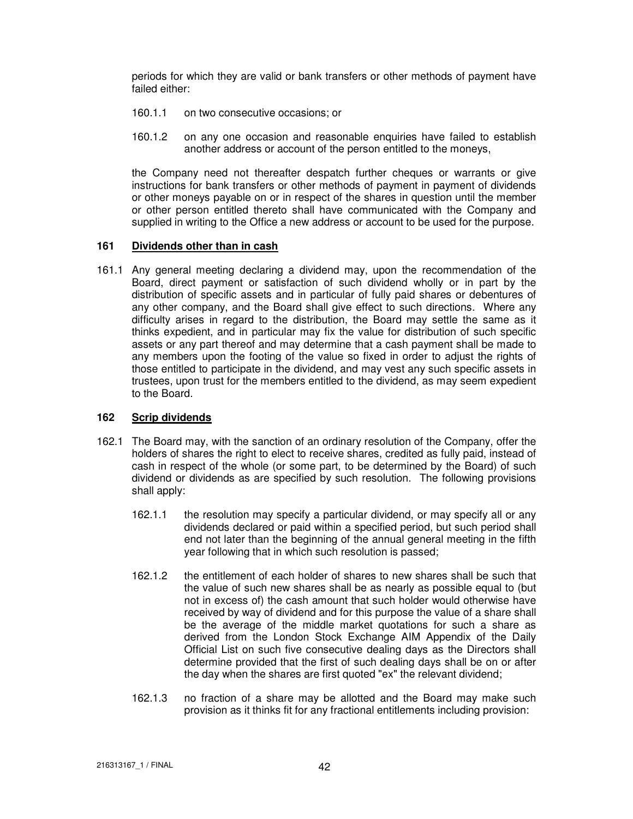periods for which they are valid or bank transfers or other methods of payment have failed either:

- 160.1.1 on two consecutive occasions; or
- 160.1.2 on any one occasion and reasonable enquiries have failed to establish another address or account of the person entitled to the moneys,

the Company need not thereafter despatch further cheques or warrants or give instructions for bank transfers or other methods of payment in payment of dividends or other moneys payable on or in respect of the shares in question until the member or other person entitled thereto shall have communicated with the Company and supplied in writing to the Office a new address or account to be used for the purpose.

#### **161 Dividends other than in cash**

161.1 Any general meeting declaring a dividend may, upon the recommendation of the Board, direct payment or satisfaction of such dividend wholly or in part by the distribution of specific assets and in particular of fully paid shares or debentures of any other company, and the Board shall give effect to such directions. Where any difficulty arises in regard to the distribution, the Board may settle the same as it thinks expedient, and in particular may fix the value for distribution of such specific assets or any part thereof and may determine that a cash payment shall be made to any members upon the footing of the value so fixed in order to adjust the rights of those entitled to participate in the dividend, and may vest any such specific assets in trustees, upon trust for the members entitled to the dividend, as may seem expedient to the Board.

#### **162 Scrip dividends**

- 162.1 The Board may, with the sanction of an ordinary resolution of the Company, offer the holders of shares the right to elect to receive shares, credited as fully paid, instead of cash in respect of the whole (or some part, to be determined by the Board) of such dividend or dividends as are specified by such resolution. The following provisions shall apply:
	- 162.1.1 the resolution may specify a particular dividend, or may specify all or any dividends declared or paid within a specified period, but such period shall end not later than the beginning of the annual general meeting in the fifth year following that in which such resolution is passed;
	- 162.1.2 the entitlement of each holder of shares to new shares shall be such that the value of such new shares shall be as nearly as possible equal to (but not in excess of) the cash amount that such holder would otherwise have received by way of dividend and for this purpose the value of a share shall be the average of the middle market quotations for such a share as derived from the London Stock Exchange AIM Appendix of the Daily Official List on such five consecutive dealing days as the Directors shall determine provided that the first of such dealing days shall be on or after the day when the shares are first quoted "ex" the relevant dividend;
	- 162.1.3 no fraction of a share may be allotted and the Board may make such provision as it thinks fit for any fractional entitlements including provision: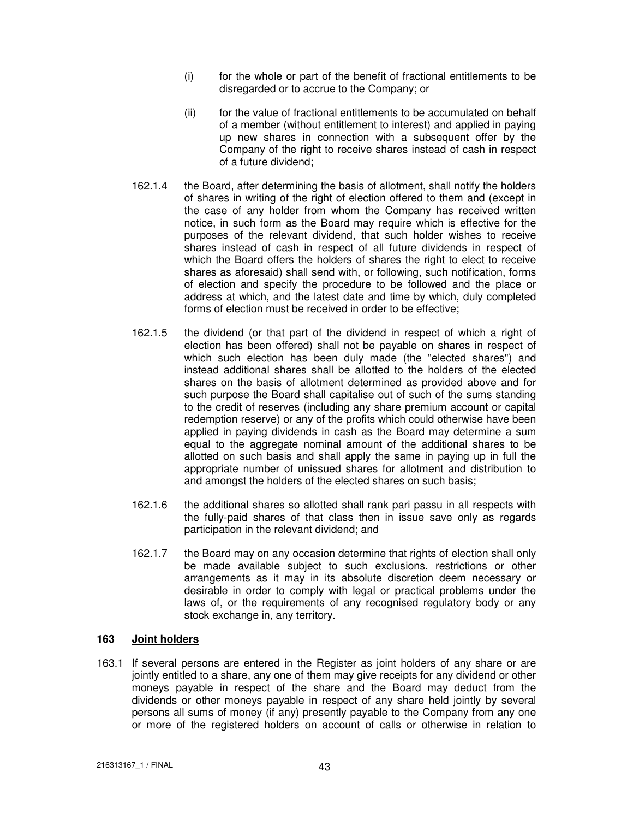- (i) for the whole or part of the benefit of fractional entitlements to be disregarded or to accrue to the Company; or
- (ii) for the value of fractional entitlements to be accumulated on behalf of a member (without entitlement to interest) and applied in paying up new shares in connection with a subsequent offer by the Company of the right to receive shares instead of cash in respect of a future dividend;
- 162.1.4 the Board, after determining the basis of allotment, shall notify the holders of shares in writing of the right of election offered to them and (except in the case of any holder from whom the Company has received written notice, in such form as the Board may require which is effective for the purposes of the relevant dividend, that such holder wishes to receive shares instead of cash in respect of all future dividends in respect of which the Board offers the holders of shares the right to elect to receive shares as aforesaid) shall send with, or following, such notification, forms of election and specify the procedure to be followed and the place or address at which, and the latest date and time by which, duly completed forms of election must be received in order to be effective;
- 162.1.5 the dividend (or that part of the dividend in respect of which a right of election has been offered) shall not be payable on shares in respect of which such election has been duly made (the "elected shares") and instead additional shares shall be allotted to the holders of the elected shares on the basis of allotment determined as provided above and for such purpose the Board shall capitalise out of such of the sums standing to the credit of reserves (including any share premium account or capital redemption reserve) or any of the profits which could otherwise have been applied in paying dividends in cash as the Board may determine a sum equal to the aggregate nominal amount of the additional shares to be allotted on such basis and shall apply the same in paying up in full the appropriate number of unissued shares for allotment and distribution to and amongst the holders of the elected shares on such basis;
- 162.1.6 the additional shares so allotted shall rank pari passu in all respects with the fully-paid shares of that class then in issue save only as regards participation in the relevant dividend; and
- 162.1.7 the Board may on any occasion determine that rights of election shall only be made available subject to such exclusions, restrictions or other arrangements as it may in its absolute discretion deem necessary or desirable in order to comply with legal or practical problems under the laws of, or the requirements of any recognised regulatory body or any stock exchange in, any territory.

## **163 Joint holders**

163.1 If several persons are entered in the Register as joint holders of any share or are jointly entitled to a share, any one of them may give receipts for any dividend or other moneys payable in respect of the share and the Board may deduct from the dividends or other moneys payable in respect of any share held jointly by several persons all sums of money (if any) presently payable to the Company from any one or more of the registered holders on account of calls or otherwise in relation to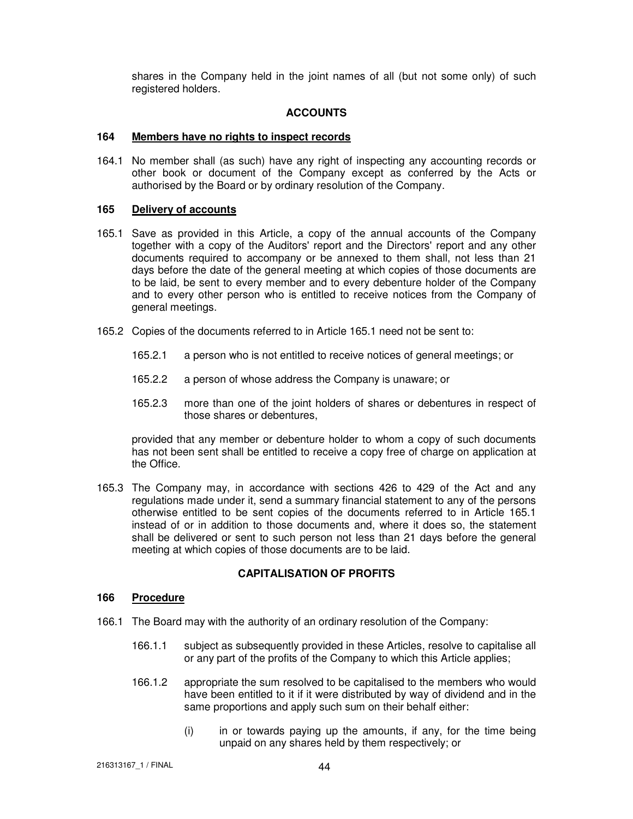shares in the Company held in the joint names of all (but not some only) of such registered holders.

## **ACCOUNTS**

#### **164 Members have no rights to inspect records**

164.1 No member shall (as such) have any right of inspecting any accounting records or other book or document of the Company except as conferred by the Acts or authorised by the Board or by ordinary resolution of the Company.

## **165 Delivery of accounts**

- 165.1 Save as provided in this Article, a copy of the annual accounts of the Company together with a copy of the Auditors' report and the Directors' report and any other documents required to accompany or be annexed to them shall, not less than 21 days before the date of the general meeting at which copies of those documents are to be laid, be sent to every member and to every debenture holder of the Company and to every other person who is entitled to receive notices from the Company of general meetings.
- 165.2 Copies of the documents referred to in Article 165.1 need not be sent to:
	- 165.2.1 a person who is not entitled to receive notices of general meetings; or
	- 165.2.2 a person of whose address the Company is unaware; or
	- 165.2.3 more than one of the joint holders of shares or debentures in respect of those shares or debentures,

provided that any member or debenture holder to whom a copy of such documents has not been sent shall be entitled to receive a copy free of charge on application at the Office.

165.3 The Company may, in accordance with sections 426 to 429 of the Act and any regulations made under it, send a summary financial statement to any of the persons otherwise entitled to be sent copies of the documents referred to in Article 165.1 instead of or in addition to those documents and, where it does so, the statement shall be delivered or sent to such person not less than 21 days before the general meeting at which copies of those documents are to be laid.

# **CAPITALISATION OF PROFITS**

## **166 Procedure**

- 166.1 The Board may with the authority of an ordinary resolution of the Company:
	- 166.1.1 subject as subsequently provided in these Articles, resolve to capitalise all or any part of the profits of the Company to which this Article applies;
	- 166.1.2 appropriate the sum resolved to be capitalised to the members who would have been entitled to it if it were distributed by way of dividend and in the same proportions and apply such sum on their behalf either:
		- (i) in or towards paying up the amounts, if any, for the time being unpaid on any shares held by them respectively; or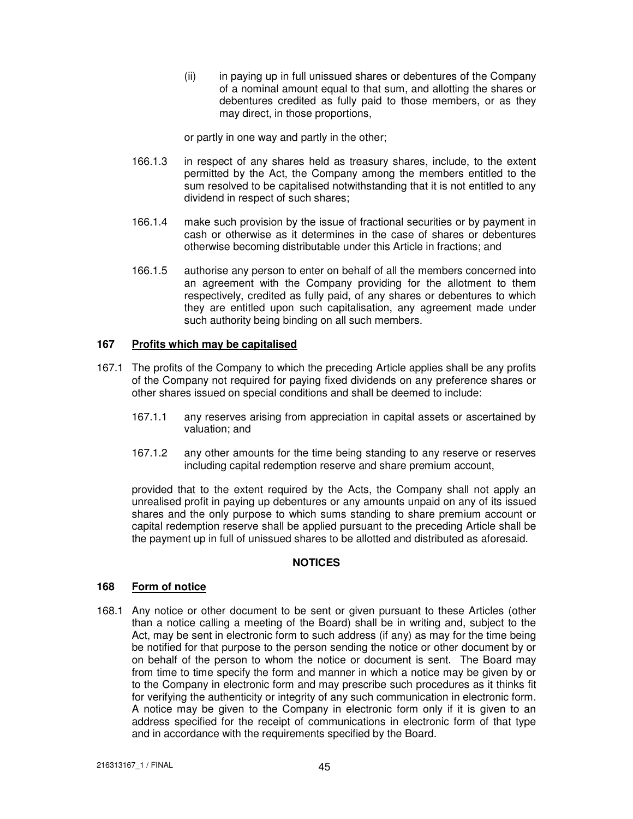(ii) in paying up in full unissued shares or debentures of the Company of a nominal amount equal to that sum, and allotting the shares or debentures credited as fully paid to those members, or as they may direct, in those proportions,

or partly in one way and partly in the other;

- 166.1.3 in respect of any shares held as treasury shares, include, to the extent permitted by the Act, the Company among the members entitled to the sum resolved to be capitalised notwithstanding that it is not entitled to any dividend in respect of such shares;
- 166.1.4 make such provision by the issue of fractional securities or by payment in cash or otherwise as it determines in the case of shares or debentures otherwise becoming distributable under this Article in fractions; and
- 166.1.5 authorise any person to enter on behalf of all the members concerned into an agreement with the Company providing for the allotment to them respectively, credited as fully paid, of any shares or debentures to which they are entitled upon such capitalisation, any agreement made under such authority being binding on all such members.

# **167 Profits which may be capitalised**

- 167.1 The profits of the Company to which the preceding Article applies shall be any profits of the Company not required for paying fixed dividends on any preference shares or other shares issued on special conditions and shall be deemed to include:
	- 167.1.1 any reserves arising from appreciation in capital assets or ascertained by valuation; and
	- 167.1.2 any other amounts for the time being standing to any reserve or reserves including capital redemption reserve and share premium account,

provided that to the extent required by the Acts, the Company shall not apply an unrealised profit in paying up debentures or any amounts unpaid on any of its issued shares and the only purpose to which sums standing to share premium account or capital redemption reserve shall be applied pursuant to the preceding Article shall be the payment up in full of unissued shares to be allotted and distributed as aforesaid.

# **NOTICES**

# **168 Form of notice**

168.1 Any notice or other document to be sent or given pursuant to these Articles (other than a notice calling a meeting of the Board) shall be in writing and, subject to the Act, may be sent in electronic form to such address (if any) as may for the time being be notified for that purpose to the person sending the notice or other document by or on behalf of the person to whom the notice or document is sent. The Board may from time to time specify the form and manner in which a notice may be given by or to the Company in electronic form and may prescribe such procedures as it thinks fit for verifying the authenticity or integrity of any such communication in electronic form. A notice may be given to the Company in electronic form only if it is given to an address specified for the receipt of communications in electronic form of that type and in accordance with the requirements specified by the Board.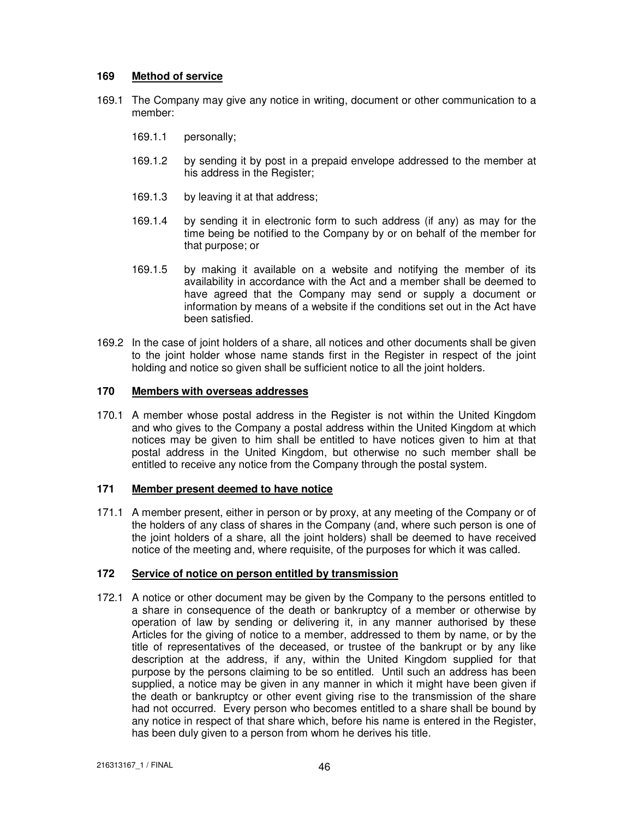# **169 Method of service**

- 169.1 The Company may give any notice in writing, document or other communication to a member:
	- 169.1.1 personally;
	- 169.1.2 by sending it by post in a prepaid envelope addressed to the member at his address in the Register;
	- 169.1.3 by leaving it at that address;
	- 169.1.4 by sending it in electronic form to such address (if any) as may for the time being be notified to the Company by or on behalf of the member for that purpose; or
	- 169.1.5 by making it available on a website and notifying the member of its availability in accordance with the Act and a member shall be deemed to have agreed that the Company may send or supply a document or information by means of a website if the conditions set out in the Act have been satisfied.
- 169.2 In the case of joint holders of a share, all notices and other documents shall be given to the joint holder whose name stands first in the Register in respect of the joint holding and notice so given shall be sufficient notice to all the joint holders.

## **170 Members with overseas addresses**

170.1 A member whose postal address in the Register is not within the United Kingdom and who gives to the Company a postal address within the United Kingdom at which notices may be given to him shall be entitled to have notices given to him at that postal address in the United Kingdom, but otherwise no such member shall be entitled to receive any notice from the Company through the postal system.

#### **171 Member present deemed to have notice**

171.1 A member present, either in person or by proxy, at any meeting of the Company or of the holders of any class of shares in the Company (and, where such person is one of the joint holders of a share, all the joint holders) shall be deemed to have received notice of the meeting and, where requisite, of the purposes for which it was called.

# **172 Service of notice on person entitled by transmission**

172.1 A notice or other document may be given by the Company to the persons entitled to a share in consequence of the death or bankruptcy of a member or otherwise by operation of law by sending or delivering it, in any manner authorised by these Articles for the giving of notice to a member, addressed to them by name, or by the title of representatives of the deceased, or trustee of the bankrupt or by any like description at the address, if any, within the United Kingdom supplied for that purpose by the persons claiming to be so entitled. Until such an address has been supplied, a notice may be given in any manner in which it might have been given if the death or bankruptcy or other event giving rise to the transmission of the share had not occurred. Every person who becomes entitled to a share shall be bound by any notice in respect of that share which, before his name is entered in the Register, has been duly given to a person from whom he derives his title.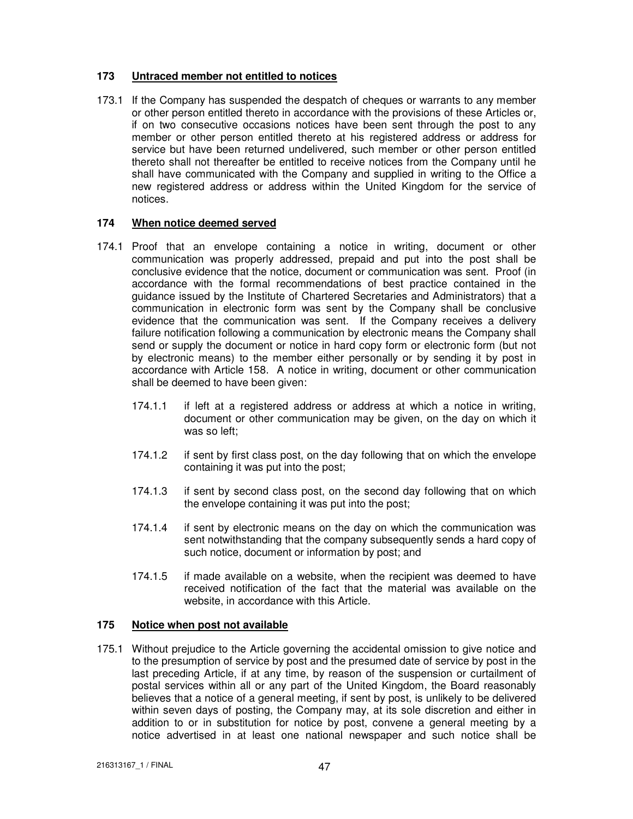# **173 Untraced member not entitled to notices**

173.1 If the Company has suspended the despatch of cheques or warrants to any member or other person entitled thereto in accordance with the provisions of these Articles or, if on two consecutive occasions notices have been sent through the post to any member or other person entitled thereto at his registered address or address for service but have been returned undelivered, such member or other person entitled thereto shall not thereafter be entitled to receive notices from the Company until he shall have communicated with the Company and supplied in writing to the Office a new registered address or address within the United Kingdom for the service of notices.

# **174 When notice deemed served**

- 174.1 Proof that an envelope containing a notice in writing, document or other communication was properly addressed, prepaid and put into the post shall be conclusive evidence that the notice, document or communication was sent. Proof (in accordance with the formal recommendations of best practice contained in the guidance issued by the Institute of Chartered Secretaries and Administrators) that a communication in electronic form was sent by the Company shall be conclusive evidence that the communication was sent. If the Company receives a delivery failure notification following a communication by electronic means the Company shall send or supply the document or notice in hard copy form or electronic form (but not by electronic means) to the member either personally or by sending it by post in accordance with Article 158. A notice in writing, document or other communication shall be deemed to have been given:
	- 174.1.1 if left at a registered address or address at which a notice in writing, document or other communication may be given, on the day on which it was so left;
	- 174.1.2 if sent by first class post, on the day following that on which the envelope containing it was put into the post;
	- 174.1.3 if sent by second class post, on the second day following that on which the envelope containing it was put into the post;
	- 174.1.4 if sent by electronic means on the day on which the communication was sent notwithstanding that the company subsequently sends a hard copy of such notice, document or information by post; and
	- 174.1.5 if made available on a website, when the recipient was deemed to have received notification of the fact that the material was available on the website, in accordance with this Article.

# **175 Notice when post not available**

175.1 Without prejudice to the Article governing the accidental omission to give notice and to the presumption of service by post and the presumed date of service by post in the last preceding Article, if at any time, by reason of the suspension or curtailment of postal services within all or any part of the United Kingdom, the Board reasonably believes that a notice of a general meeting, if sent by post, is unlikely to be delivered within seven days of posting, the Company may, at its sole discretion and either in addition to or in substitution for notice by post, convene a general meeting by a notice advertised in at least one national newspaper and such notice shall be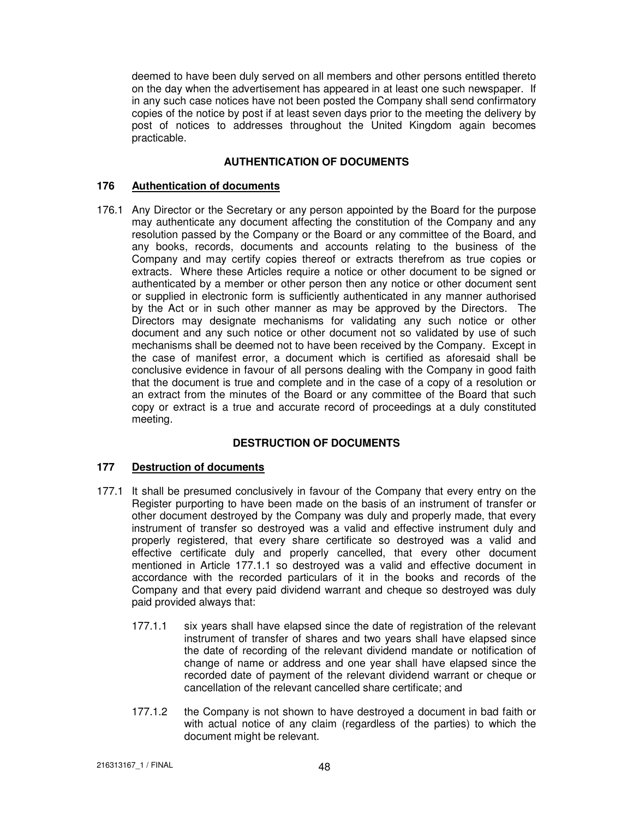deemed to have been duly served on all members and other persons entitled thereto on the day when the advertisement has appeared in at least one such newspaper. If in any such case notices have not been posted the Company shall send confirmatory copies of the notice by post if at least seven days prior to the meeting the delivery by post of notices to addresses throughout the United Kingdom again becomes practicable.

# **AUTHENTICATION OF DOCUMENTS**

# **176 Authentication of documents**

176.1 Any Director or the Secretary or any person appointed by the Board for the purpose may authenticate any document affecting the constitution of the Company and any resolution passed by the Company or the Board or any committee of the Board, and any books, records, documents and accounts relating to the business of the Company and may certify copies thereof or extracts therefrom as true copies or extracts. Where these Articles require a notice or other document to be signed or authenticated by a member or other person then any notice or other document sent or supplied in electronic form is sufficiently authenticated in any manner authorised by the Act or in such other manner as may be approved by the Directors. The Directors may designate mechanisms for validating any such notice or other document and any such notice or other document not so validated by use of such mechanisms shall be deemed not to have been received by the Company. Except in the case of manifest error, a document which is certified as aforesaid shall be conclusive evidence in favour of all persons dealing with the Company in good faith that the document is true and complete and in the case of a copy of a resolution or an extract from the minutes of the Board or any committee of the Board that such copy or extract is a true and accurate record of proceedings at a duly constituted meeting.

# **DESTRUCTION OF DOCUMENTS**

# **177 Destruction of documents**

- 177.1 It shall be presumed conclusively in favour of the Company that every entry on the Register purporting to have been made on the basis of an instrument of transfer or other document destroyed by the Company was duly and properly made, that every instrument of transfer so destroyed was a valid and effective instrument duly and properly registered, that every share certificate so destroyed was a valid and effective certificate duly and properly cancelled, that every other document mentioned in Article 177.1.1 so destroyed was a valid and effective document in accordance with the recorded particulars of it in the books and records of the Company and that every paid dividend warrant and cheque so destroyed was duly paid provided always that:
	- 177.1.1 six years shall have elapsed since the date of registration of the relevant instrument of transfer of shares and two years shall have elapsed since the date of recording of the relevant dividend mandate or notification of change of name or address and one year shall have elapsed since the recorded date of payment of the relevant dividend warrant or cheque or cancellation of the relevant cancelled share certificate; and
	- 177.1.2 the Company is not shown to have destroyed a document in bad faith or with actual notice of any claim (regardless of the parties) to which the document might be relevant.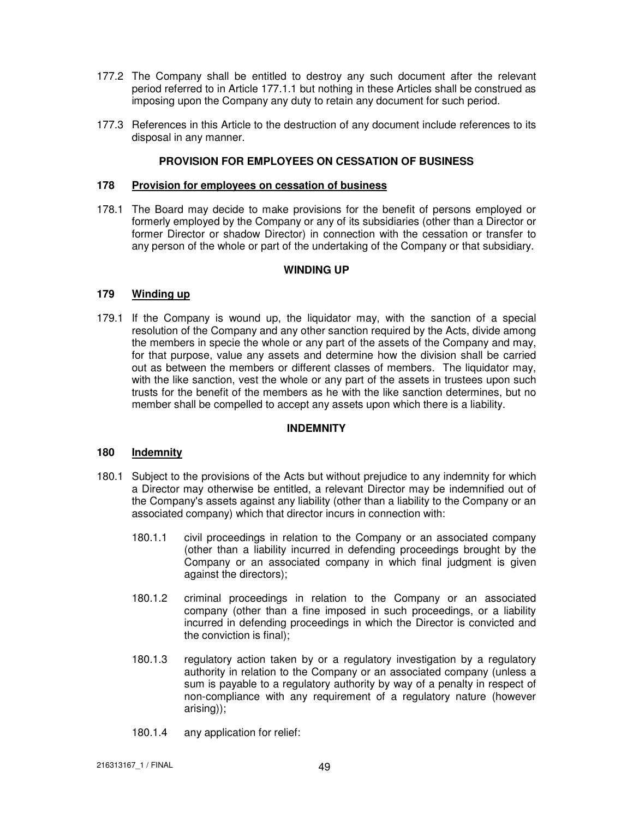- 177.2 The Company shall be entitled to destroy any such document after the relevant period referred to in Article 177.1.1 but nothing in these Articles shall be construed as imposing upon the Company any duty to retain any document for such period.
- 177.3 References in this Article to the destruction of any document include references to its disposal in any manner.

# **PROVISION FOR EMPLOYEES ON CESSATION OF BUSINESS**

## **178 Provision for employees on cessation of business**

178.1 The Board may decide to make provisions for the benefit of persons employed or formerly employed by the Company or any of its subsidiaries (other than a Director or former Director or shadow Director) in connection with the cessation or transfer to any person of the whole or part of the undertaking of the Company or that subsidiary.

# **WINDING UP**

## **179 Winding up**

179.1 If the Company is wound up, the liquidator may, with the sanction of a special resolution of the Company and any other sanction required by the Acts, divide among the members in specie the whole or any part of the assets of the Company and may, for that purpose, value any assets and determine how the division shall be carried out as between the members or different classes of members. The liquidator may, with the like sanction, vest the whole or any part of the assets in trustees upon such trusts for the benefit of the members as he with the like sanction determines, but no member shall be compelled to accept any assets upon which there is a liability.

#### **INDEMNITY**

#### **180 Indemnity**

- 180.1 Subject to the provisions of the Acts but without prejudice to any indemnity for which a Director may otherwise be entitled, a relevant Director may be indemnified out of the Company's assets against any liability (other than a liability to the Company or an associated company) which that director incurs in connection with:
	- 180.1.1 civil proceedings in relation to the Company or an associated company (other than a liability incurred in defending proceedings brought by the Company or an associated company in which final judgment is given against the directors);
	- 180.1.2 criminal proceedings in relation to the Company or an associated company (other than a fine imposed in such proceedings, or a liability incurred in defending proceedings in which the Director is convicted and the conviction is final);
	- 180.1.3 regulatory action taken by or a regulatory investigation by a regulatory authority in relation to the Company or an associated company (unless a sum is payable to a regulatory authority by way of a penalty in respect of non-compliance with any requirement of a regulatory nature (however arising));
	- 180.1.4 any application for relief: